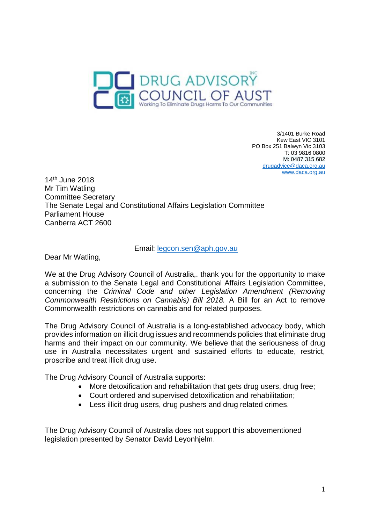

3/1401 Burke Road Kew East VIC 3101 PO Box 251 Balwyn Vic 3103 T: 03 9816 0800 M: 0487 315 682 [drugadvice@daca.org.au](mailto:drugadvice@daca.org.au) [www.daca.org.au](http://www.daca.org.au/)

14th June 2018 Mr Tim Watling Committee Secretary The Senate Legal and Constitutional Affairs Legislation Committee Parliament House Canberra ACT 2600

### Email: [legcon.sen@aph.gov.au](mailto:legcon.sen@aph.gov.au)

Dear Mr Watling,

We at the Drug Advisory Council of Australia,. thank you for the opportunity to make a submission to the Senate Legal and Constitutional Affairs Legislation Committee, concerning the *Criminal Code and other Legislation Amendment (Removing Commonwealth Restrictions on Cannabis) Bill 2018.* A Bill for an Act to remove Commonwealth restrictions on cannabis and for related purposes.

The Drug Advisory Council of Australia is a long-established advocacy body, which provides information on illicit drug issues and recommends policies that eliminate drug harms and their impact on our community. We believe that the seriousness of drug use in Australia necessitates urgent and sustained efforts to educate, restrict, proscribe and treat illicit drug use.

The Drug Advisory Council of Australia supports:

- More detoxification and rehabilitation that gets drug users, drug free;
- Court ordered and supervised detoxification and rehabilitation;
- Less illicit drug users, drug pushers and drug related crimes.

The Drug Advisory Council of Australia does not support this abovementioned legislation presented by Senator David Leyonhjelm.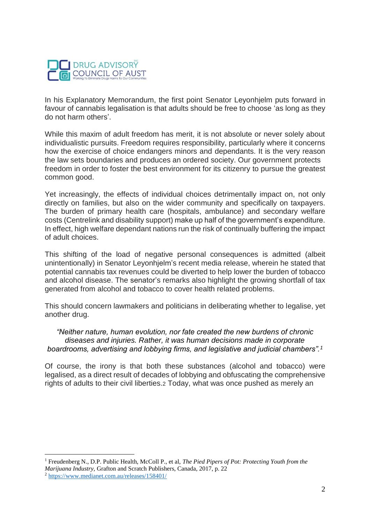

In his Explanatory Memorandum, the first point Senator Leyonhjelm puts forward in favour of cannabis legalisation is that adults should be free to choose 'as long as they do not harm others'.

While this maxim of adult freedom has merit, it is not absolute or never solely about individualistic pursuits. Freedom requires responsibility, particularly where it concerns how the exercise of choice endangers minors and dependants. It is the very reason the law sets boundaries and produces an ordered society. Our government protects freedom in order to foster the best environment for its citizenry to pursue the greatest common good.

Yet increasingly, the effects of individual choices detrimentally impact on, not only directly on families, but also on the wider community and specifically on taxpayers. The burden of primary health care (hospitals, ambulance) and secondary welfare costs (Centrelink and disability support) make up half of the government's expenditure. In effect, high welfare dependant nations run the risk of continually buffering the impact of adult choices.

This shifting of the load of negative personal consequences is admitted (albeit unintentionally) in Senator Leyonhjelm's recent media release, wherein he stated that potential cannabis tax revenues could be diverted to help lower the burden of tobacco and alcohol disease. The senator's remarks also highlight the growing shortfall of tax generated from alcohol and tobacco to cover health related problems.

This should concern lawmakers and politicians in deliberating whether to legalise, yet another drug.

*"Neither nature, human evolution, nor fate created the new burdens of chronic diseases and injuries. Rather, it was human decisions made in corporate boardrooms, advertising and lobbying firms, and legislative and judicial chambers".<sup>1</sup>*

Of course, the irony is that both these substances (alcohol and tobacco) were legalised, as a direct result of decades of lobbying and obfuscating the comprehensive rights of adults to their civil liberties.2 Today, what was once pushed as merely an

<sup>1</sup> Freudenberg N., D.P. Public Health, McColl P., et al, *The Pied Pipers of Pot: Protecting Youth from the Marijuana Industry,* Grafton and Scratch Publishers, Canada, 2017, p. 22 <sup>2</sup> <https://www.medianet.com.au/releases/158401/>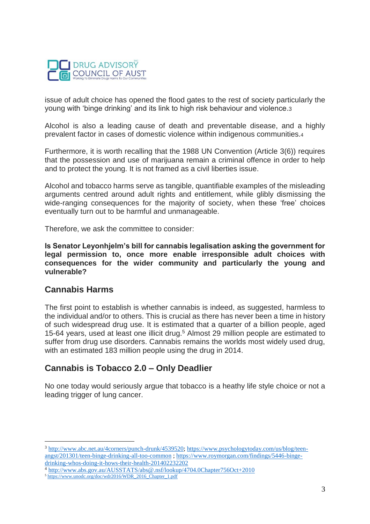

issue of adult choice has opened the flood gates to the rest of society particularly the young with 'binge drinking' and its link to high risk behaviour and violence.3

Alcohol is also a leading cause of death and preventable disease, and a highly prevalent factor in cases of domestic violence within indigenous communities.<sup>4</sup>

Furthermore, it is worth recalling that the 1988 UN Convention (Article 3(6)) requires that the possession and use of marijuana remain a criminal offence in order to help and to protect the young. It is not framed as a civil liberties issue.

Alcohol and tobacco harms serve as tangible, quantifiable examples of the misleading arguments centred around adult rights and entitlement, while glibly dismissing the wide-ranging consequences for the majority of society, when these 'free' choices eventually turn out to be harmful and unmanageable.

Therefore, we ask the committee to consider:

**Is Senator Leyonhjelm's bill for cannabis legalisation asking the government for legal permission to, once more enable irresponsible adult choices with consequences for the wider community and particularly the young and vulnerable?**

### **Cannabis Harms**

 $\overline{a}$ 

The first point to establish is whether cannabis is indeed, as suggested, harmless to the individual and/or to others. This is crucial as there has never been a time in history of such widespread drug use. It is estimated that a quarter of a billion people, aged 15-64 years, used at least one illicit drug.<sup>5</sup> Almost 29 million people are estimated to suffer from drug use disorders. Cannabis remains the worlds most widely used drug, with an estimated 183 million people using the drug in 2014.

# **Cannabis is Tobacco 2.0 – Only Deadlier**

No one today would seriously argue that tobacco is a heathy life style choice or not a leading trigger of lung cancer.

<sup>3</sup> [http://www.abc.net.au/4corners/punch-drunk/4539520;](http://www.abc.net.au/4corners/punch-drunk/4539520) [https://www.psychologytoday.com/us/blog/teen](https://www.psychologytoday.com/us/blog/teen-angst/201301/teen-binge-drinking-all-too-common)[angst/201301/teen-binge-drinking-all-too-common](https://www.psychologytoday.com/us/blog/teen-angst/201301/teen-binge-drinking-all-too-common) [; https://www.roymorgan.com/findings/5446-binge](https://www.roymorgan.com/findings/5446-binge-drinking-whos-doing-it-hows-their-health-201402232202)[drinking-whos-doing-it-hows-their-health-201402232202](https://www.roymorgan.com/findings/5446-binge-drinking-whos-doing-it-hows-their-health-201402232202) 

<sup>4</sup> <http://www.abs.gov.au/AUSSTATS/abs@.nsf/lookup/4704.0Chapter756Oct+2010>

<sup>5</sup> [https://www.unodc.org/doc/wdr2016/WDR\\_2016\\_Chapter\\_1.pdf](https://www.unodc.org/doc/wdr2016/WDR_2016_Chapter_1.pdf)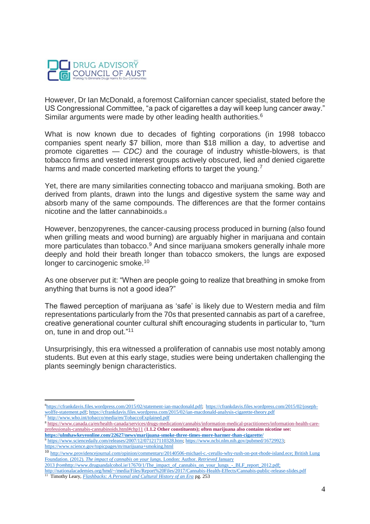

However, Dr Ian McDonald, a foremost Californian cancer specialist, stated before the US Congressional Committee, "a pack of cigarettes a day will keep lung cancer away." Similar arguments were made by other leading health authorities.<sup>6</sup>

What is now known due to decades of fighting corporations (in 1998 tobacco companies spent nearly \$7 billion, more than \$18 million a day, to advertise and promote cigarettes *— CDC)* and the courage of industry whistle-blowers, is that tobacco firms and vested interest groups actively obscured, lied and denied cigarette harms and made concerted marketing efforts to target the young.<sup>7</sup>

Yet, there are many similarities connecting tobacco and marijuana smoking. Both are derived from plants, drawn into the lungs and digestive system the same way and absorb many of the same compounds. The differences are that the former contains nicotine and the latter cannabinoids.<sup>8</sup>

However, benzopyrenes, the cancer-causing process produced in burning (also found when grilling meats and wood burning) are arguably higher in marijuana and contain more particulates than tobacco.<sup>9</sup> And since marijuana smokers generally inhale more deeply and hold their breath longer than tobacco smokers, the lungs are exposed longer to carcinogenic smoke.<sup>10</sup>

As one observer put it: "When are people going to realize that breathing in smoke from anything that burns is not a good idea?"

The flawed perception of marijuana as 'safe' is likely due to Western media and film representations particularly from the 70s that presented cannabis as part of a carefree, creative generational counter cultural shift encouraging students in particular to, "turn on, tune in and drop out."<sup>11</sup>

Unsurprisingly, this era witnessed a proliferation of cannabis use most notably among students. But even at this early stage, studies were being undertaken challenging the plants seemingly benign characteristics.

 $\overline{a}$ 

<sup>10</sup> [http://www.providencejournal.com/opinion/commentary/20140506-michael-c.-cerullo-why-rush-on-pot-rhode-island.ece;](http://www.providencejournal.com/opinion/commentary/20140506-michael-c.-cerullo-why-rush-on-pot-rhode-island.ece) British Lung Foundation. (2012). *The impact of cannabis on your lungs.* London: Author. *Retrieved* January

<sup>6</sup>[https://cfrankdavis.files.wordpress.com/2015/02/statement-ian-macdonald.pdf;](https://cfrankdavis.files.wordpress.com/2015/02/statement-ian-macdonald.pdf) [https://cfrankdavis.files.wordpress.com/2015/02/joseph](https://cfrankdavis.files.wordpress.com/2015/02/joseph-wolffe-statement.pdf)[wolffe-statement.pdf;](https://cfrankdavis.files.wordpress.com/2015/02/joseph-wolffe-statement.pdf)<https://cfrankdavis.files.wordpress.com/2015/02/ian-macdonald-analysis-cigarette-theory.pdf>

<http://www.who.int/tobacco/media/en/TobaccoExplained.pdf>

<sup>8</sup> [https://www.canada.ca/en/health-canada/services/drugs-medication/cannabis/information-medical-practitioners/information-health-care](https://www.canada.ca/en/health-canada/services/drugs-medication/cannabis/information-medical-practitioners/information-health-care-professionals-cannabis-cannabinoids.html#chp11)[professionals-cannabis-cannabinoids.html#chp11](https://www.canada.ca/en/health-canada/services/drugs-medication/cannabis/information-medical-practitioners/information-health-care-professionals-cannabis-cannabinoids.html#chp11) (**1.1.2 Other constituents); often marijuana also contains nicotine see: <https://ulmhawkeyeonline.com/22627/news/marijuana-smoke-three-times-more-harmer-than-cigarette/>**

<sup>9</sup> [https://www.sciencedaily.com/releases/2007/12/071217110328.htm;](https://www.sciencedaily.com/releases/2007/12/071217110328.htm) [https://www.ncbi.nlm.nih.gov/pubmed/16729923;](https://www.ncbi.nlm.nih.gov/pubmed/16729923)  <https://www.science.gov/topicpages/m/marijuana+smoking.html>

<sup>2013</sup> *from*http://www.drugsandalcohol.ie/17670/1/The\_impact\_of\_cannabis\_on\_your\_lungs\_-\_BLF\_report\_2012.pdf;

<http://nationalacademies.org/hmd/~/media/Files/Report%20Files/2017/Cannabis-Health-Effects/Cannabis-public-release-slides.pdf>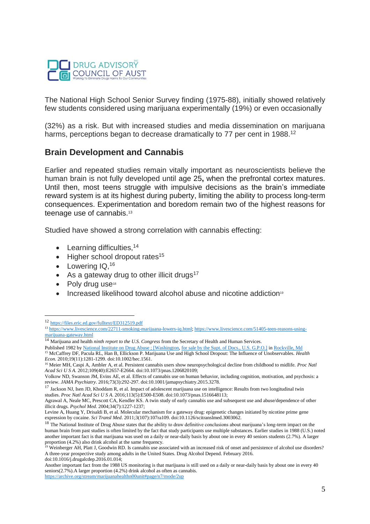

The National High School Senior Survey finding (1975-88), initially showed relatively few students considered using marijuana experimentally (19%) or even occasionally

(32%) as a risk. But with increased studies and media dissemination on marijuana harms, perceptions began to decrease dramatically to 77 per cent in 1988.<sup>12</sup>

### **Brain Development and Cannabis**

Earlier and repeated studies remain vitally important as neuroscientists believe the human brain is not fully developed until age 25**,** when the prefrontal cortex matures. Until then, most teens struggle with impulsive decisions as the brain's immediate reward system is at its highest during puberty, limiting the ability to process long-term consequences. Experimentation and boredom remain two of the highest reasons for teenage use of cannabis.<sup>13</sup>

Studied have showed a strong correlation with cannabis effecting:

- $\bullet$  Learning difficulties,  $14$
- $\bullet$  Higher school dropout rates<sup>15</sup>
- Lowering IQ, 16
- As a gateway drug to other illicit drugs<sup>17</sup>
- Poly drug use<sup>18</sup>

 $\overline{a}$ 

Increased likelihood toward alcohol abuse and nicotine addiction<sup>9</sup>

<sup>12</sup> <https://files.eric.ed.gov/fulltext/ED312519.pdf>

<sup>&</sup>lt;sup>13</sup> [https://www.livescience.com/22711-smoking-marijuana-lowers-iq.html;](https://www.livescience.com/22711-smoking-marijuana-lowers-iq.html) [https://www.livescience.com/51405-teen-reasons-using](https://www.livescience.com/51405-teen-reasons-using-marijuana-gateway.html)[marijuana-gateway.html](https://www.livescience.com/51405-teen-reasons-using-marijuana-gateway.html)

<sup>14</sup> Marijuana and health *ninth report to the U.S. Congress* from the Secretary of Health and Human Services.

Published 1982 by [National Institute on Drug Abuse ; \[Washington,](https://openlibrary.org/publishers/National_Institute_on_Drug_Abuse_;_%5BWashington) [for sale by the Supt. of Docs., U.S. G.P.O.\]](https://openlibrary.org/publishers/for_sale_by_the_Supt._of_Docs.,_U.S._G.P.O.%5D) in [Rockville, Md](file://///search/subjects%253fq=Rockville,%20Md) <sup>15</sup> McCaffrey DF, Pacula RL, Han B, Ellickson P. Marijuana Use and High School Dropout: The Influence of Unobservables. *Health Econ.* 2010;19(11):1281-1299. doi:10.1002/hec.1561.

<sup>16</sup> Meier MH, Caspi A, Ambler A, et al. Persistent cannabis users show neuropsychological decline from childhood to midlife. *Proc Natl Acad Sci U S A.* 2012;109(40):E2657-E2664. doi:10.1073/pnas.1206820109;

Volkow ND, Swanson JM, Evins AE, et al. Effects of cannabis use on human behavior, including cognition, motivation, and psychosis: a review. *JAMA Psychiatry*. 2016;73(3):292-297. doi:10.1001/jamapsychiatry.2015.3278.

<sup>&</sup>lt;sup>17</sup> Jackson NJ, Isen JD, Khoddam R, et al. Impact of adolescent marijuana use on intelligence: Results from two longitudinal twin studies. *Proc Natl Acad Sci U S A*. 2016;113(5):E500-E508. doi:10.1073/pnas.1516648113;

Agrawal A, Neale MC, Prescott CA, Kendler KS. A twin study of early cannabis use and subsequent use and abuse/dependence of other illicit drugs. *Psychol Med*. 2004;34(7):1227-1237;

Levine A, Huang Y, Drisaldi B, et al. Molecular mechanism for a gateway drug: epigenetic changes initiated by nicotine prime gene expression by cocaine. *Sci Transl Med*. 2011;3(107):107ra109. doi:10.1126/scitranslmed.3003062.

<sup>&</sup>lt;sup>18</sup> The National Institute of Drug Abuse states that the ability to draw definitive conclusions about marijuana's long-term impact on the human brain from past studies is often limited by the fact that study participants use multiple substances. Earlier studies in 1988 (U.S.) noted another important fact is that marijuana was used on a daily or near-daily basis by about one in every 40 seniors students (2.7%). A larger proportion (4.2%) also drink alcohol at the same frequency.

 $\overrightarrow{P}$  Weinberger AH, Platt J, Goodwin RD. Is cannabis use associated with an increased risk of onset and persistence of alcohol use disorders? A three-year prospective study among adults in the United States. Drug Alcohol Depend. February 2016. doi:10.1016/j.drugalcdep.2016.01.014;

Another important fact from the 1988 US monitoring is that marijuana is still used on a daily or near-daily basis by about one in every 40 seniors(2.7%).A larger proportion (4.2%) drink alcohol as often as cannabis.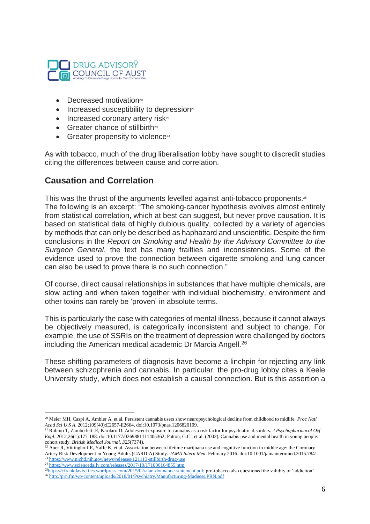

- $\bullet$  Decreased motivation<sup>20</sup>
- Increased susceptibility to depression<sup>21</sup>
- $\bullet$  Increased coronary artery risk<sup>22</sup>
- Greater chance of stillbirth<sup>23</sup>
- Greater propensity to violence<sup>24</sup>

As with tobacco, much of the drug liberalisation lobby have sought to discredit studies citing the differences between cause and correlation.

## **Causation and Correlation**

This was the thrust of the arguments levelled against anti-tobacco proponents.<sup>25</sup> The following is an excerpt: "The smoking-cancer hypothesis evolves almost entirely from statistical correlation, which at best can suggest, but never prove causation. It is based on statistical data of highly dubious quality, collected by a variety of agencies by methods that can only be described as haphazard and unscientific. Despite the firm conclusions in the *Report on Smoking and Health by the Advisory Committee to the Surgeon General*, the text has many frailties and inconsistencies. Some of the evidence used to prove the connection between cigarette smoking and lung cancer can also be used to prove there is no such connection."

Of course, direct causal relationships in substances that have multiple chemicals, are slow acting and when taken together with individual biochemistry, environment and other toxins can rarely be 'proven' in absolute terms.

This is particularly the case with categories of mental illness, because it cannot always be objectively measured, is categorically inconsistent and subject to change. For example, the use of SSRIs on the treatment of depression were challenged by doctors including the American medical academic Dr Marcia Angell.<sup>26</sup>

These shifting parameters of diagnosis have become a linchpin for rejecting any link between schizophrenia and cannabis. In particular, the pro-drug lobby cites a Keele University study, which does not establish a causal connection. But is this assertion a

 $\overline{a}$ <sup>20</sup> Meier MH, Caspi A, Ambler A, et al. Persistent cannabis users show neuropsychological decline from childhood to midlife. *Proc Natl Acad Sci U S A*. 2012;109(40):E2657-E2664. doi:10.1073/pnas.1206820109.

<sup>21</sup> Rubino T, Zamberletti E, Parolaro D. Adolescent exposure to cannabis as a risk factor for psychiatric disorders. *J Psychopharmacol Oxf Engl*. 2012;26(1):177-188. doi:10.1177/0269881111405362; Patton, G.C., et al. (2002). Cannabis use and mental health in young people: cohort study. *British Medical Journal, 325*(7374).

 $^{22}$  Auer R, Vittinghoff E, Yaffe K, et al. Association between lifetime marijuana use and cognitive function in middle age: the Coronary Artery Risk Development in Young Adults (CARDIA) Study. *JAMA Intern Med*. February 2016. doi:10.1001/jamainternmed.2015.7841.

<sup>&</sup>lt;sup>23</sup> <https://www.nichd.nih.gov/news/releases/121113-stillbirth-drug-use>

<sup>&</sup>lt;sup>24</sup> <https://www.sciencedaily.com/releases/2017/10/171006164855.htm>

<sup>&</sup>lt;sup>25</sup>[https://cfrankdavis.files.wordpress.com/2015/02/alan-donnahoe-statement.pdf;](https://cfrankdavis.files.wordpress.com/2015/02/alan-donnahoe-statement.pdf) pro-tobacco also questioned the validity of 'addiction'.

<sup>26</sup> <http://prn.fm/wp-content/uploads/2018/01/Psychiatry.Manufacturing-Madness.PRN.pdf>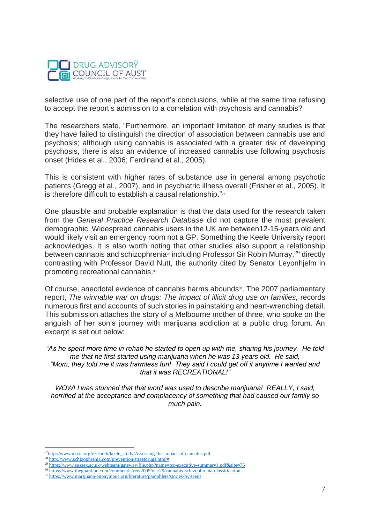

selective use of one part of the report's conclusions, while at the same time refusing to accept the report's admission to a correlation with psychosis and cannabis?

The researchers state, "Furthermore, an important limitation of many studies is that they have failed to distinguish the direction of association between cannabis use and psychosis; although using cannabis is associated with a greater risk of developing psychosis, there is also an evidence of increased cannabis use following psychosis onset (Hides et al., 2006; Ferdinand et al., 2005).

This is consistent with higher rates of substance use in general among psychotic patients (Gregg et al., 2007), and in psychiatric illness overall (Frisher et al., 2005). It is therefore difficult to establish a causal relationship."27

One plausible and probable explanation is that the data used for the research taken from the *General Practice Research Database* did not capture the most prevalent demographic. Widespread cannabis users in the UK are between12-15-years old and would likely visit an emergency room not a GP. Something the Keele University report acknowledges. It is also worth noting that other studies also support a relationship between cannabis and schizophrenia<sup>28</sup> including Professor Sir Robin Murray,<sup>29</sup> directly contrasting with Professor David Nutt, the authority cited by Senator Leyonhjelm in promoting recreational cannabis.<sup>30</sup>

Of course, anecdotal evidence of cannabis harms abounds<sup>31</sup>. The 2007 parliamentary report, *The winnable war on drugs: The impact of illicit drug use on families,* records numerous first and accounts of such stories in painstaking and heart-wrenching detail. This submission attaches the story of a Melbourne mother of three, who spoke on the anguish of her son's journey with marijuana addiction at a public drug forum. An excerpt is set out below:

*"As he spent more time in rehab he started to open up with me, sharing his journey. He told me that he first started using marijuana when he was 13 years old. He said, "Mom, they told me it was harmless fun! They said I could get off it anytime I wanted and that it was RECREATIONAL!"*

*WOW! I was stunned that that word was used to describe marijuana! REALLY, I said, horrified at the acceptance and complacency of something that had caused our family so much pain.*

<sup>&</sup>lt;sup>27</sup>[http://www.ukcia.org/research/keele\\_study/Assessing-the-impact-of-cannabis.pdf](http://www.ukcia.org/research/keele_study/Assessing-the-impact-of-cannabis.pdf)

<sup>28</sup> [http://www.schizophrenia.com/prevention/streetdrugs.html#](http://www.schizophrenia.com/prevention/streetdrugs.html)

<sup>&</sup>lt;sup>29</sup> <https://www.sussex.ac.uk/webteam/gateway/file.php?name=tsc-executive-summary1.pdf&site=75>

<sup>30</sup> <https://www.theguardian.com/commentisfree/2009/oct/29/cannabis-schizophrenia-classification>

<sup>31</sup> <https://www.marijuana-anonymous.org/literature/pamphlets/stories-by-teens>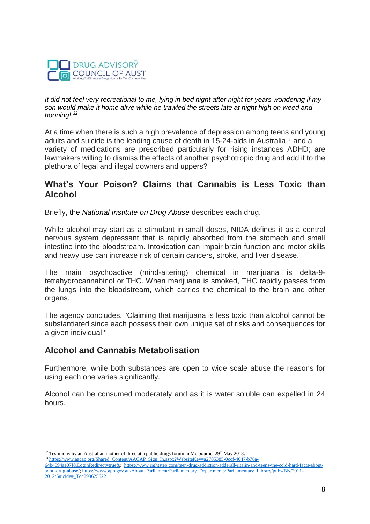

*It did not feel very recreational to me, lying in bed night after night for years wondering if my son would make it home alive while he trawled the streets late at night high on weed and hooning! <sup>32</sup>*

At a time when there is such a high prevalence of depression among teens and young adults and suicide is the leading cause of death in 15-24-olds in Australia,<sup>33</sup> and a variety of medications are prescribed particularly for rising instances ADHD; are lawmakers willing to dismiss the effects of another psychotropic drug and add it to the plethora of legal and illegal downers and uppers?

## **What's Your Poison? Claims that Cannabis is Less Toxic than Alcohol**

Briefly, the *[National Institute on Drug Abuse](http://www.drugabuse.gov/)* describes each drug.

While alcohol may start as a stimulant in small doses, NIDA defines it as a central nervous system depressant that is rapidly absorbed from the stomach and small intestine into the bloodstream. Intoxication can impair brain function and motor skills and heavy use can increase risk of certain cancers, stroke, and liver disease.

The main psychoactive (mind-altering) chemical in marijuana is delta-9 tetrahydrocannabinol or THC. When marijuana is smoked, THC rapidly passes from the lungs into the bloodstream, which carries the chemical to the brain and other organs.

The agency concludes, "Claiming that marijuana is less toxic than alcohol cannot be substantiated since each possess their own unique set of risks and consequences for a given individual."

### **Alcohol and Cannabis Metabolisation**

 $\overline{a}$ 

Furthermore, while both substances are open to wide scale abuse the reasons for using each one varies significantly.

Alcohol can be consumed moderately and as it is water soluble can expelled in 24 hours.

<sup>33</sup> [https://www.aacap.org/Shared\\_Content/AACAP\\_Sign\\_In.aspx?WebsiteKey=a2785385-0ccf-4047-b76a-](https://www.aacap.org/Shared_Content/AACAP_Sign_In.aspx?WebsiteKey=a2785385-0ccf-4047-b76a-64b4094ae07f&LoginRedirect=true&)[64b4094ae07f&LoginRedirect=true&;](https://www.aacap.org/Shared_Content/AACAP_Sign_In.aspx?WebsiteKey=a2785385-0ccf-4047-b76a-64b4094ae07f&LoginRedirect=true&) [https://www.rightstep.com/teen-drug-addiction/adderall-ritalin-and-teens-the-cold-hard-facts-about-](https://www.rightstep.com/teen-drug-addiction/adderall-ritalin-and-teens-the-cold-hard-facts-about-adhd-drug-abuse/)

 $32$  Testimony by an Australian mother of three at a public drugs forum in Melbourne,  $29<sup>th</sup>$  May 2018.

[adhd-drug-abuse/;](https://www.rightstep.com/teen-drug-addiction/adderall-ritalin-and-teens-the-cold-hard-facts-about-adhd-drug-abuse/) [https://www.aph.gov.au/About\\_Parliament/Parliamentary\\_Departments/Parliamentary\\_Library/pubs/BN/2011-](https://www.aph.gov.au/About_Parliament/Parliamentary_Departments/Parliamentary_Library/pubs/BN/2011-2012/Suicide#_Toc299625622) [2012/Suicide#\\_Toc299625622](https://www.aph.gov.au/About_Parliament/Parliamentary_Departments/Parliamentary_Library/pubs/BN/2011-2012/Suicide#_Toc299625622)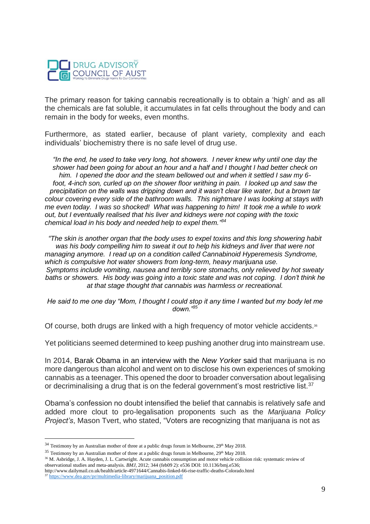

The primary reason for taking cannabis recreationally is to obtain a 'high' and as all the chemicals are fat soluble, it accumulates in fat cells throughout the body and can remain in the body for weeks, even months.

Furthermore, as stated earlier, because of plant variety, complexity and each individuals' biochemistry there is no safe level of drug use.

*"In the end, he used to take very long, hot showers. I never knew why until one day the shower had been going for about an hour and a half and I thought I had better check on him. I opened the door and the steam bellowed out and when it settled I saw my 6* foot, 4-inch son, curled up on the shower floor writhing in pain. I looked up and saw the *precipitation on the walls was dripping down and it wasn't clear like water, but a brown tar colour covering every side of the bathroom walls. This nightmare I was looking at stays with me even today. I was so shocked! What was happening to him! It took me a while to work out, but I eventually realised that his liver and kidneys were not coping with the toxic chemical load in his body and needed help to expel them." 34*

*"The skin is another organ that the body uses to expel toxins and this long showering habit was his body compelling him to sweat it out to help his kidneys and liver that were not managing anymore. I read up on a condition called Cannabinoid Hyperemesis Syndrome, which is compulsive hot water showers from long-term, heavy marijuana use. Symptoms include vomiting, nausea and terribly sore stomachs, only relieved by hot sweaty baths or showers. His body was going into a toxic state and was not coping. I don't think he at that stage thought that cannabis was harmless or recreational.*

*He said to me one day "Mom, I thought I could stop it any time I wanted but my body let me down."<sup>35</sup>*

Of course, both drugs are linked with a high frequency of motor vehicle accidents.<sup>36</sup>

Yet politicians seemed determined to keep pushing another drug into mainstream use.

In 2014, Barak [Obama](http://www.newyorker.com/reporting/2014/01/27/140127fa_fact_remnick?currentPage=all) in an interview with the *New Yorker* said that marijuana is no more dangerous than alcohol and went on to disclose his own experiences of smoking cannabis as a teenager. This opened the door to broader conversation about legalising or decriminalising a drug that is on the federal government's most restrictive list.<sup>37</sup>

Obama's confession no doubt intensified the belief that cannabis is relatively safe and added more clout to pro-legalisation proponents such as the *Marijuana Policy Project's*, Mason Tvert, who stated, "Voters are recognizing that marijuana is not as

 $^{34}$  Testimony by an Australian mother of three at a public drugs forum in Melbourne,  $29^{\text{th}}$  May 2018.

 $35$  Testimony by an Australian mother of three at a public drugs forum in Melbourne,  $29<sup>th</sup>$  May 2018.

<sup>&</sup>lt;sup>36</sup> M. Asbridge, J. A. Hayden, J. L. Cartwright. Acute cannabis consumption and motor vehicle collision risk: systematic review of observational studies and meta-analysis. *BMJ*, 2012; 344 (feb09 2): e536 DOI: 10.1136/bmj.e536;

http://www.dailymail.co.uk/health/article-4971644/Cannabis-linked-66-rise-traffic-deaths-Colorado.html <sup>37</sup> [https://www.dea.gov/pr/multimedia-library/marijuana\\_position.pdf](https://www.dea.gov/pr/multimedia-library/marijuana_position.pdf)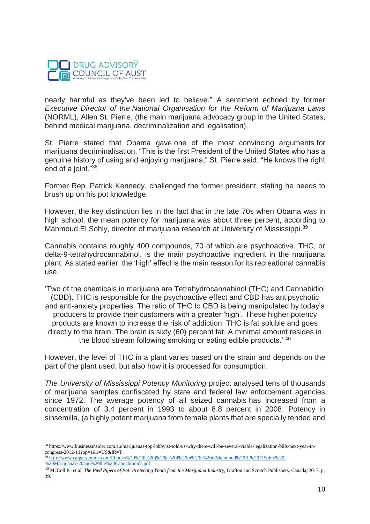

nearly harmful as they've been led to believe." A sentiment echoed by former *Executive Director of the National Organisation for the Reform of Marijuana Laws*  (NORML), Allen St. Pierre, (the main marijuana advocacy group in the United States, behind medical marijuana, decriminalization and legalisation).

St. Pierre stated that Obama gave one of the most convincing arguments for marijuana decriminalisation. "This is the first President of the United States who has a genuine history of using and enjoying marijuana," St. Pierre said. "He knows the right end of a joint."<sup>38</sup>

Former Rep. Patrick Kennedy, challenged the former president, stating he needs to brush up on his pot knowledge.

However, the key distinction lies in the fact that in the late 70s when Obama was in high school, the mean potency for marijuana was about three percent, according to Mahmoud El Sohly, director of marijuana research at University of Mississippi.<sup>39</sup>

Cannabis contains roughly 400 compounds, 70 of which are psychoactive. THC, or delta-9-tetrahydrocannabinol, is the main psychoactive ingredient in the marijuana plant. As stated earlier, the 'high' effect is the main reason for its recreational cannabis use.

'Two of the chemicals in marijuana are Tetrahydrocannabinol (THC) and Cannabidiol (CBD). THC is responsible for the psychoactive effect and CBD has antipsychotic and anti-anxiety properties. The ratio of THC to CBD is being manipulated by today's producers to provide their customers with a greater 'high'. These higher potency products are known to increase the risk of addiction. THC is fat soluble and goes directly to the brain. The brain is sixty (60) percent fat. A minimal amount resides in the blood stream following smoking or eating edible products.' <sup>40</sup>

However, the level of THC in a plant varies based on the strain and depends on the part of the plant used, but also how it is processed for consumption.

*The University of Mississippi Potency Monitoring* project analysed tens of thousands of marijuana samples confiscated by state and federal law enforcement agencies since 1972. The average potency of all seized cannabis has increased from a concentration of 3.4 percent in 1993 to about 8.8 percent in 2008. Potency in sinsemilla, (a highly potent marijuana from female plants that are specially tended and

 $\overline{a}$ <sup>38</sup> https://www.businessinsider.com.au/marijuanas-top-lobbyist-told-us-why-there-will-be-several-viable-legalization-bills-next-year-incongress-2012-11?op=1&r=US&IR=T

<sup>39</sup> [http://www.calgarycmmc.com/Ebooks%20%20i%20j%20k%20l%20m%20n%20o/Mahmoud%20A.%20ElSohly%20-](http://www.calgarycmmc.com/Ebooks%20%20i%20j%20k%20l%20m%20n%20o/Mahmoud%20A.%20ElSohly%20-%20Marijuana%20and%20the%20Cannabinoids.pdf) [%20Marijuana%20and%20the%20Cannabinoids.pdf](http://www.calgarycmmc.com/Ebooks%20%20i%20j%20k%20l%20m%20n%20o/Mahmoud%20A.%20ElSohly%20-%20Marijuana%20and%20the%20Cannabinoids.pdf)

<sup>40</sup> McColl P., et al, *The Pied Pipers of Pot: Protecting Youth from the Marijuana Industry,* Grafton and Scratch Publishers, Canada, 2017, p. 39.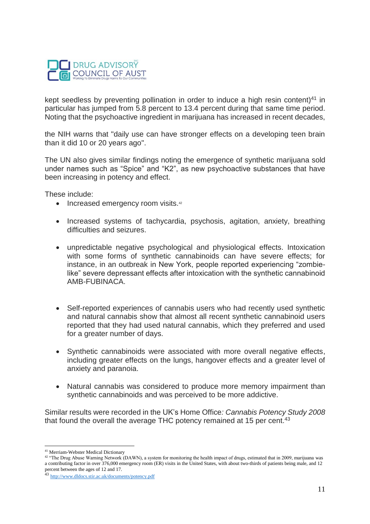

kept seedless by preventing pollination in order to induce a high resin content)<sup>41</sup> in particular has jumped from 5.8 percent to 13.4 percent during that same time period. Noting that the psychoactive ingredient in marijuana has increased in recent decades,

the NIH warns that "daily use can have stronger effects on a developing teen brain than it did 10 or 20 years ago".

The UN also gives similar findings noting the emergence of synthetic marijuana sold under names such as "Spice" and "K2", as new psychoactive substances that have been increasing in potency and effect.

These include:

- Increased emergency room visits.<sup>42</sup>
- Increased systems of tachycardia, psychosis, agitation, anxiety, breathing difficulties and seizures.
- unpredictable negative psychological and physiological effects. Intoxication with some forms of synthetic cannabinoids can have severe effects; for instance, in an outbreak in New York, people reported experiencing "zombielike" severe depressant effects after intoxication with the synthetic cannabinoid AMB-FUBINACA.
- Self-reported experiences of cannabis users who had recently used synthetic and natural cannabis show that almost all recent synthetic cannabinoid users reported that they had used natural cannabis, which they preferred and used for a greater number of days.
- Synthetic cannabinoids were associated with more overall negative effects, including greater effects on the lungs, hangover effects and a greater level of anxiety and paranoia.
- Natural cannabis was considered to produce more memory impairment than synthetic cannabinoids and was perceived to be more addictive.

Similar results were recorded in the UK's Home Office*: Cannabis Potency Study 2008* that found the overall the average THC potency remained at 15 per cent.<sup>43</sup>

 $\overline{a}$ <sup>41</sup> Merriam-Webster Medical Dictionary

<sup>&</sup>lt;sup>42</sup> "The Drug Abuse Warning Network (DAWN), a system for monitoring the health impact of drugs, estimated that in 2009, marijuana was a contributing factor in over 376,000 emergency room (ER) visits in the United States, with about two-thirds of patients being male, and 12 percent between the ages of 12 and 17.

<sup>43</sup> <http://www.dldocs.stir.ac.uk/documents/potency.pdf>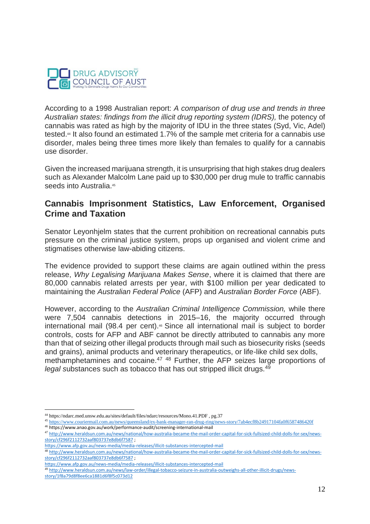

According to a 1998 Australian report: *A comparison of drug use and trends in three Australian states: findings from the illicit drug reporting system (IDRS),* the potency of cannabis was rated as high by the majority of IDU in the three states (Syd, Vic, Adel) tested.<sup>44</sup> It also found an estimated 1.7% of the sample met criteria for a cannabis use disorder, males being three times more likely than females to qualify for a cannabis use disorder.

Given the increased marijuana strength, it is unsurprising that high stakes drug dealers such as Alexander Malcolm Lane paid up to \$30,000 per drug mule to traffic cannabis seeds into Australia.<sup>45</sup>

### **Cannabis Imprisonment Statistics, Law Enforcement, Organised Crime and Taxation**

Senator Leyonhjelm states that the current prohibition on recreational cannabis puts pressure on the criminal justice system, props up organised and violent crime and stigmatises otherwise law-abiding citizens.

The evidence provided to support these claims are again outlined within the press release, *Why Legalising Marijuana Makes Sense*, where it is claimed that there are 80,000 cannabis related arrests per year, with \$100 million per year dedicated to maintaining the *Australian Federal Police* (AFP) and *Australian Border Force* (ABF).

However, according to the *Australian Criminal Intelligence Commission,* while there were 7,504 cannabis detections in 2015–16, the majority occurred through international mail (98.4 per cent).<sup>46</sup> Since all international mail is subject to border controls, costs for AFP and ABF cannot be directly attributed to cannabis any more than that of seizing other illegal products through mail such as biosecurity risks (seeds and grains), animal products and veterinary therapeutics, or life-like child sex dolls, methamphetamines and cocaine.<sup>47</sup> <sup>48</sup> Further, the AFP *s*eizes large proportions of *legal substances such as tobacco that has out stripped illicit drugs.*<sup>49</sup>

<sup>44</sup> https://ndarc.med.unsw.edu.au/sites/default/files/ndarc/resources/Mono.41.PDF , pg.37

<sup>45</sup> <https://www.couriermail.com.au/news/queensland/ex-bank-manager-ran-drug-ring/news-story/7ab4ecf8b24917104fa0f6587486420f> <sup>46</sup> https://www.anao.gov.au/work/performance-audit/screening-international-mail

<sup>47</sup> [http://www.heraldsun.com.au/news/national/how-australia-became-the-mail-order-capital-for-sick-fullsized-child-dolls-for-sex/news](http://www.heraldsun.com.au/news/national/how-australia-became-the-mail-order-capital-for-sick-fullsized-child-dolls-for-sex/news-story/cf296f2112732aaf803737e8db6f7587)[story/cf296f2112732aaf803737e8db6f7587](http://www.heraldsun.com.au/news/national/how-australia-became-the-mail-order-capital-for-sick-fullsized-child-dolls-for-sex/news-story/cf296f2112732aaf803737e8db6f7587) ;

<https://www.afp.gov.au/news-media/media-releases/illicit-substances-intercepted-mail>

<sup>48</sup> [http://www.heraldsun.com.au/news/national/how-australia-became-the-mail-order-capital-for-sick-fullsized-child-dolls-for-sex/news](http://www.heraldsun.com.au/news/national/how-australia-became-the-mail-order-capital-for-sick-fullsized-child-dolls-for-sex/news-story/cf296f2112732aaf803737e8db6f7587)[story/cf296f2112732aaf803737e8db6f7587](http://www.heraldsun.com.au/news/national/how-australia-became-the-mail-order-capital-for-sick-fullsized-child-dolls-for-sex/news-story/cf296f2112732aaf803737e8db6f7587) ;

<https://www.afp.gov.au/news-media/media-releases/illicit-substances-intercepted-mail>

<sup>49</sup> [http://www.heraldsun.com.au/news/law-order/illegal-tobacco-seizure-in-australia-outweighs-all-other-illicit-drugs/news-](http://www.heraldsun.com.au/news/law-order/illegal-tobacco-seizure-in-australia-outweighs-all-other-illicit-drugs/news-story/1f8a79d8f8ee6ca1881d6f8f5c073d12)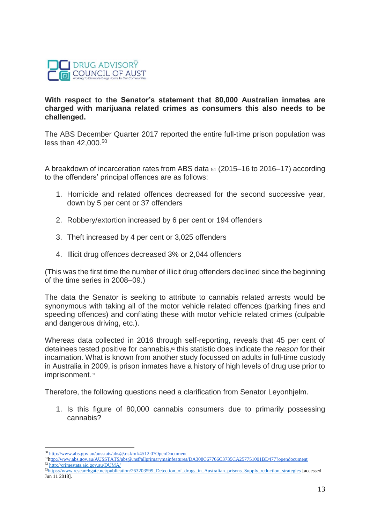

#### **With respect to the Senator's statement that 80,000 Australian inmates are charged with marijuana related crimes as consumers this also needs to be challenged.**

The ABS December Quarter 2017 reported the entire full-time prison population was less than 42,000. 50

A breakdown of incarceration rates from ABS data <sup>51</sup> (2015–16 to 2016–17) according to the offenders' principal offences are as follows:

- 1. Homicide and related offences decreased for the second successive year, down by 5 per cent or 37 offenders
- 2. Robbery/extortion increased by 6 per cent or 194 offenders
- 3. Theft increased by 4 per cent or 3,025 offenders
- 4. Illicit drug offences decreased 3% or 2,044 offenders

(This was the first time the number of illicit drug offenders declined since the beginning of the time series in 2008–09.)

The data the Senator is seeking to attribute to cannabis related arrests would be synonymous with taking all of the motor vehicle related offences (parking fines and speeding offences) and conflating these with motor vehicle related crimes (culpable and dangerous driving, etc.).

Whereas data collected in 2016 through self-reporting, reveals that 45 per cent of detainees tested positive for cannabis, <sup>52</sup> this statistic does indicate the *reason* for their incarnation. What is known from another study focussed on adults in full-time custody in Australia in 2009, is prison inmates have a history of high levels of drug use prior to imprisonment.<sup>53</sup>

Therefore, the following questions need a clarification from Senator Leyonhjelm.

1. Is this figure of 80,000 cannabis consumers due to primarily possessing cannabis?

<sup>50</sup> <http://www.abs.gov.au/ausstats/abs@.nsf/mf/4512.0?OpenDocument>

<sup>51</sup><http://www.abs.gov.au/AUSSTATS/abs@.nsf/allprimarymainfeatures/DA308C67766C3735CA257751001BD477?opendocument> <sup>52</sup> <http://crimestats.aic.gov.au/DUMA/>

<sup>53</sup>[https://www.researchgate.net/publication/263203599\\_Detection\\_of\\_drugs\\_in\\_Australian\\_prisons\\_Supply\\_reduction\\_strategies](https://www.researchgate.net/publication/263203599_Detection_of_drugs_in_Australian_prisons_Supply_reduction_strategies) [accessed Jun 11 2018].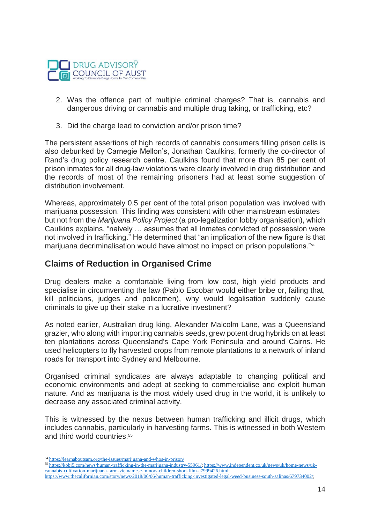

- 2. Was the offence part of multiple criminal charges? That is, cannabis and dangerous driving or cannabis and multiple drug taking, or trafficking, etc?
- 3. Did the charge lead to conviction and/or prison time?

The persistent assertions of high records of cannabis consumers filling prison cells is also debunked by Carnegie Mellon's, Jonathan Caulkins, formerly the co-director of Rand's drug policy research centre. Caulkins found that more than 85 per cent of prison inmates for all drug-law violations were clearly involved in drug distribution and the records of most of the remaining prisoners had at least some suggestion of distribution involvement.

Whereas, approximately 0.5 per cent of the total prison population was involved with marijuana possession. This finding was consistent with other mainstream estimates but not from the *Marijuana Policy Project* (a pro-legalization lobby organisation), which Caulkins explains, "naively … assumes that all inmates convicted of possession were not involved in trafficking." He determined that "an implication of the new figure is that marijuana decriminalisation would have almost no impact on prison populations."<sup>54</sup>

### **Claims of Reduction in Organised Crime**

Drug dealers make a comfortable living from low cost, high yield products and specialise in circumventing the law (Pablo Escobar would either bribe or, failing that, kill politicians, judges and policemen), why would legalisation suddenly cause criminals to give up their stake in a lucrative investment?

As noted earlier, Australian drug king, Alexander Malcolm Lane, was a Queensland grazier, who along with importing cannabis seeds, grew potent drug hybrids on at least ten plantations across Queensland's Cape York Peninsula and around Cairns. He used helicopters to fly harvested crops from remote plantations to a network of inland roads for transport into Sydney and Melbourne.

Organised criminal syndicates are always adaptable to changing political and economic environments and adept at seeking to commercialise and exploit human nature. And as marijuana is the most widely used drug in the world, it is unlikely to decrease any associated criminal activity.

This is witnessed by the nexus between human trafficking and illicit drugs, which includes cannabis, particularly in harvesting farms. This is witnessed in both Western and third world countries.<sup>55</sup>

 $\overline{a}$ <sup>54</sup> <https://learnaboutsam.org/the-issues/marijuana-and-whos-in-prison/>

<sup>55</sup> [https://kobi5.com/news/human-trafficking-in-the-marijuana-industry-55961/;](https://kobi5.com/news/human-trafficking-in-the-marijuana-industry-55961/) [https://www.independent.co.uk/news/uk/home-news/uk](https://www.independent.co.uk/news/uk/home-news/uk-cannabis-cultivation-marijuana-farm-vietnamese-minors-children-short-film-a7999426.html)[cannabis-cultivation-marijuana-farm-vietnamese-minors-children-short-film-a7999426.html;](https://www.independent.co.uk/news/uk/home-news/uk-cannabis-cultivation-marijuana-farm-vietnamese-minors-children-short-film-a7999426.html)

[https://www.thecalifornian.com/story/news/2018/06/06/human-trafficking-investigated-legal-weed-business-south-salinas/679734002/;](https://www.thecalifornian.com/story/news/2018/06/06/human-trafficking-investigated-legal-weed-business-south-salinas/679734002/)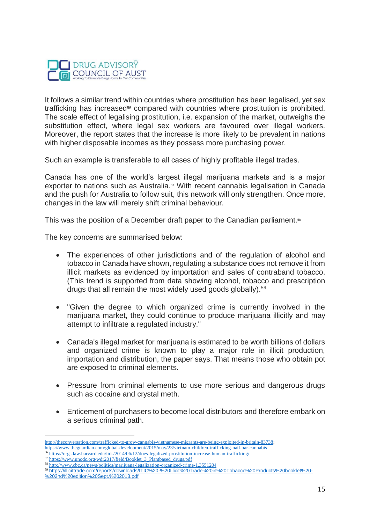

It follows a similar trend within countries where prostitution has been legalised, yet sex trafficking has increased<sup>56</sup> compared with countries where prostitution is prohibited. The scale effect of legalising prostitution, i.e. expansion of the market, outweighs the substitution effect, where legal sex workers are favoured over illegal workers. Moreover, the report states that the increase is more likely to be prevalent in nations with higher disposable incomes as they possess more purchasing power.

Such an example is transferable to all cases of highly profitable illegal trades.

Canada has one of the world's largest illegal marijuana markets and is a major exporter to nations such as Australia. $57$  With recent cannabis legalisation in Canada and the push for Australia to follow suit, this network will only strengthen. Once more, changes in the law will merely shift criminal behaviour.

This was the position of a December draft paper to the Canadian parliament.<sup>58</sup>

The key concerns are summarised below:

- The experiences of other jurisdictions and of the regulation of alcohol and tobacco in Canada have shown, regulating a substance does not remove it from illicit markets as evidenced by importation and sales of contraband tobacco. (This trend is supported from data showing alcohol, tobacco and prescription drugs that all remain the most widely used goods globally).<sup>59</sup>
- "Given the degree to which organized crime is currently involved in the marijuana market, they could continue to produce marijuana illicitly and may attempt to infiltrate a regulated industry."
- Canada's illegal market for marijuana is estimated to be worth billions of dollars and organized crime is known to play a major role in illicit production, importation and distribution, the paper says. That means those who obtain pot are exposed to criminal elements.
- Pressure from criminal elements to use more serious and dangerous drugs such as cocaine and crystal meth.
- Enticement of purchasers to become local distributors and therefore embark on a serious criminal path.

<sup>59</sup> [https://illicittrade.com/reports/downloads/ITIC%20-%20Illicit%20Trade%20in%20Tobacco%20Products%20booklet%20-](https://illicittrade.com/reports/downloads/ITIC%20-%20Illicit%20Trade%20in%20Tobacco%20Products%20booklet%20-%202nd%20edition%20Sept.%202013.pdf)

[http://theconversation.com/trafficked-to-grow-cannabis-vietnamese-migrants-are-being-exploited-in-britain-83738;](http://theconversation.com/trafficked-to-grow-cannabis-vietnamese-migrants-are-being-exploited-in-britain-83738) <https://www.theguardian.com/global-development/2015/may/23/vietnam-children-trafficking-nail-bar-cannabis>

<sup>&</sup>lt;sup>6</sup> <https://orgs.law.harvard.edu/lids/2014/06/12/does-legalized-prostitution-increase-human-trafficking/>

<sup>57</sup> [https://www.unodc.org/wdr2017/field/Booklet\\_3\\_Plantbased\\_drugs.pdf](https://www.unodc.org/wdr2017/field/Booklet_3_Plantbased_drugs.pdf) <sup>58</sup> <http://www.cbc.ca/news/politics/marijuana-legalization-organized-crime-1.3551204>

[<sup>%202</sup>nd%20edition%20Sept.%202013.pdf](https://illicittrade.com/reports/downloads/ITIC%20-%20Illicit%20Trade%20in%20Tobacco%20Products%20booklet%20-%202nd%20edition%20Sept.%202013.pdf)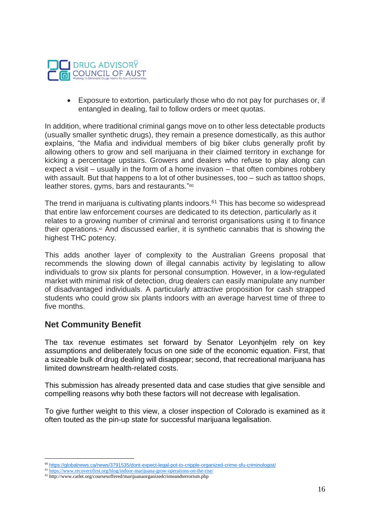

• Exposure to extortion, particularly those who do not pay for purchases or, if entangled in dealing, fail to follow orders or meet quotas.

In addition, where traditional criminal gangs move on to other less detectable products (usually smaller synthetic drugs), they remain a presence domestically, as this author explains, "the Mafia and individual members of big biker clubs generally profit by allowing others to grow and sell marijuana in their claimed territory in exchange for kicking a percentage upstairs. Growers and dealers who refuse to play along can expect a visit – usually in the form of a home invasion – that often combines robbery with assault. But that happens to a lot of other businesses, too – such as tattoo shops, leather stores, gyms, bars and restaurants."<sup>60</sup>

The trend in marijuana is cultivating plants indoors.<sup>61</sup> This has become so widespread that entire law enforcement courses are dedicated to its detection, particularly as it relates to a growing number of criminal and terrorist organisations using it to finance their operations.<sup> $62$ </sup> And discussed earlier, it is synthetic cannabis that is showing the highest THC potency.

This adds another layer of complexity to the Australian Greens proposal that recommends the slowing down of illegal cannabis activity by legislating to allow individuals to grow six plants for personal consumption. However, in a low-regulated market with minimal risk of detection, drug dealers can easily manipulate any number of disadvantaged individuals. A particularly attractive proposition for cash strapped students who could grow six plants indoors with an average harvest time of three to five months.

# **Net Community Benefit**

 $\overline{a}$ 

The tax revenue estimates set forward by Senator Leyonhjelm rely on key assumptions and deliberately focus on one side of the economic equation. First, that a sizeable bulk of drug dealing will disappear; second, that recreational marijuana has limited downstream health-related costs.

This submission has already presented data and case studies that give sensible and compelling reasons why both these factors will not decrease with legalisation.

To give further weight to this view, a closer inspection of Colorado is examined as it often touted as the pin-up state for successful marijuana legalisation.

<sup>60</sup> <https://globalnews.ca/news/3791535/dont-expect-legal-pot-to-cripple-organized-crime-sfu-criminologist/>

<sup>61</sup> <https://www.recoveryfirst.org/blog/indoor-marijuana-grow-operations-on-the-rise/>

<sup>62</sup> http://www.catlet.org/coursesoffered/marijuanaorganizedcrimeandterrorism.php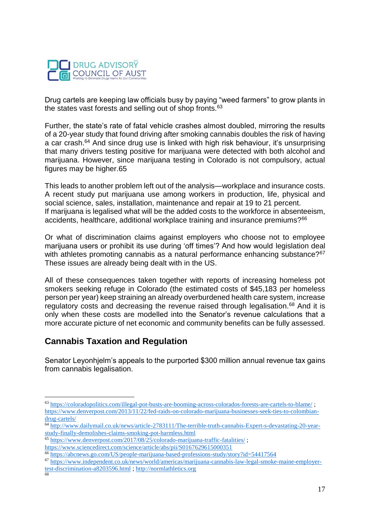

Drug cartels are keeping law officials busy by paying "weed farmers" to grow plants in the states vast forests and selling out of shop fronts.<sup>63</sup>

Further, the state's rate of fatal vehicle crashes almost doubled, mirroring the results of a 20-year study that found driving after smoking cannabis doubles the risk of having a car crash.<sup>64</sup> And since drug use is linked with high risk behaviour, it's unsurprising that many drivers testing positive for marijuana were detected with both alcohol and marijuana. However, since marijuana testing in Colorado is not compulsory, actual figures may be higher.65

This leads to another problem left out of the analysis—workplace and insurance costs. A recent study put marijuana use among workers in production, life, physical and social science, sales, installation, maintenance and repair at 19 to 21 percent. If marijuana is legalised what will be the added costs to the workforce in absenteeism, accidents, healthcare, additional workplace training and insurance premiums?<sup>66</sup>

Or what of discrimination claims against employers who choose not to employee marijuana users or prohibit its use during 'off times'? And how would legislation deal with athletes promoting cannabis as a natural performance enhancing substance? $67$ These issues are already being dealt with in the US.

All of these consequences taken together with reports of increasing homeless pot smokers seeking refuge in Colorado (the estimated costs of \$45,183 per homeless person per year) keep straining an already overburdened health care system, increase regulatory costs and decreasing the revenue raised through legalisation.<sup>68</sup> And it is only when these costs are modelled into the Senator's revenue calculations that a more accurate picture of net economic and community benefits can be fully assessed.

# **Cannabis Taxation and Regulation**

 $\overline{a}$ 

Senator Leyonhjelm's appeals to the purported \$300 million annual revenue tax gains from cannabis legalisation.

<sup>63</sup> <https://coloradopolitics.com/illegal-pot-busts-are-booming-across-colorados-forests-are-cartels-to-blame/> ; [https://www.denverpost.com/2013/11/22/fed-raids-on-colorado-marijuana-businesses-seek-ties-to-colombian](https://www.denverpost.com/2013/11/22/fed-raids-on-colorado-marijuana-businesses-seek-ties-to-colombian-drug-cartels/)[drug-cartels/](https://www.denverpost.com/2013/11/22/fed-raids-on-colorado-marijuana-businesses-seek-ties-to-colombian-drug-cartels/)

<sup>64</sup> [http://www.dailymail.co.uk/news/article-2783111/The-terrible-truth-cannabis-Expert-s-devastating-20-year](http://www.dailymail.co.uk/news/article-2783111/The-terrible-truth-cannabis-Expert-s-devastating-20-year-study-finally-demolishes-claims-smoking-pot-harmless.html)[study-finally-demolishes-claims-smoking-pot-harmless.html](http://www.dailymail.co.uk/news/article-2783111/The-terrible-truth-cannabis-Expert-s-devastating-20-year-study-finally-demolishes-claims-smoking-pot-harmless.html)

<sup>65</sup> <https://www.denverpost.com/2017/08/25/colorado-marijuana-traffic-fatalities/> ;

<https://www.sciencedirect.com/science/article/abs/pii/S0167629615000351>

<sup>66</sup> <https://abcnews.go.com/US/people-marijuana-based-professions-study/story?id=54417564>

<sup>67</sup> [https://www.independent.co.uk/news/world/americas/marijuana-cannabis-law-legal-smoke-maine-employer-](https://www.independent.co.uk/news/world/americas/marijuana-cannabis-law-legal-smoke-maine-employer-test-discrimination-a8203596.html)

[test-discrimination-a8203596.html](https://www.independent.co.uk/news/world/americas/marijuana-cannabis-law-legal-smoke-maine-employer-test-discrimination-a8203596.html) ; [http://normlathletics.org](http://normlathletics.org/) 68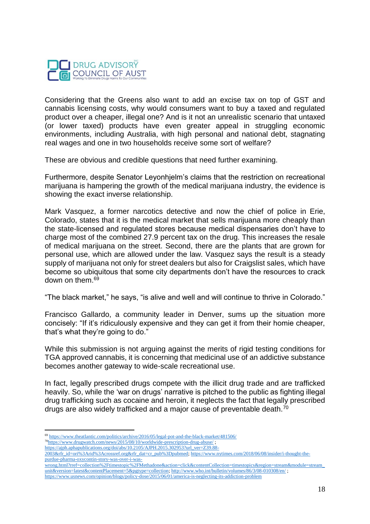

Considering that the Greens also want to add an excise tax on top of GST and cannabis licensing costs, why would consumers want to buy a taxed and regulated product over a cheaper, illegal one? And is it not an unrealistic scenario that untaxed (or lower taxed) products have even greater appeal in struggling economic environments, including Australia, with high personal and national debt, stagnating real wages and one in two households receive some sort of welfare?

These are obvious and credible questions that need further examining.

Furthermore, despite Senator Leyonhjelm's claims that the restriction on recreational marijuana is hampering the growth of the medical marijuana industry, the evidence is showing the exact inverse relationship.

Mark Vasquez, a former narcotics detective and now the chief of police in Erie, Colorado, states that it is the medical market that sells marijuana more cheaply than the state-licensed and regulated stores because medical dispensaries don't have to charge most of the combined 27.9 percent tax on the drug. This increases the resale of medical marijuana on the street. Second, there are the plants that are grown for personal use, which are allowed under the law. Vasquez says the result is a steady supply of marijuana not only for street dealers but also for Craigslist sales, which have become so ubiquitous that some city departments don't have the resources to crack down on them.<sup>69</sup>

"The black market," he says, "is alive and well and will continue to thrive in Colorado."

Francisco Gallardo, a community leader in Denver, sums up the situation more concisely: "If it's ridiculously expensive and they can get it from their homie cheaper, that's what they're going to do."

While this submission is not arguing against the merits of rigid testing conditions for TGA approved cannabis, it is concerning that medicinal use of an addictive substance becomes another gateway to wide-scale recreational use.

In fact, legally prescribed drugs compete with the illicit drug trade and are trafficked heavily. So, while the 'war on drugs' narrative is pitched to the public as fighting illegal drug trafficking such as cocaine and heroin, it neglects the fact that legally prescribed drugs are also widely trafficked and a major cause of preventable death.<sup>70</sup>

 $\overline{a}$ <sup>69</sup> <https://www.theatlantic.com/politics/archive/2016/05/legal-pot-and-the-black-market/481506/>

<sup>70</sup><https://www.drugwatch.com/news/2015/08/10/worldwide-prescription-drug-abuse/> ;

[https://ajph.aphapublications.org/doi/abs/10.2105/AJPH.2015.302953?url\\_ver=Z39.88-](https://ajph.aphapublications.org/doi/abs/10.2105/AJPH.2015.302953?url_ver=Z39.88-2003&rfr_id=ori%3Arid%3Acrossref.org&rfr_dat=cr_pub%3Dpubmed)

[<sup>2003&</sup>amp;rfr\\_id=ori%3Arid%3Acrossref.org&rfr\\_dat=cr\\_pub%3Dpubmed;](https://ajph.aphapublications.org/doi/abs/10.2105/AJPH.2015.302953?url_ver=Z39.88-2003&rfr_id=ori%3Arid%3Acrossref.org&rfr_dat=cr_pub%3Dpubmed) [https://www.nytimes.com/2018/06/08/insider/i-thought-the](https://www.nytimes.com/2018/06/08/insider/i-thought-the-purdue-pharma-oxycontin-story-was-over-i-was-wrong.html?rref=collection%2Ftimestopic%2FMethadone&action=click&contentCollection=timestopics®ion=stream&module=stream_unit&version=latest&contentPlacement=5&pgtype=collection)[purdue-pharma-oxycontin-story-was-over-i-was-](https://www.nytimes.com/2018/06/08/insider/i-thought-the-purdue-pharma-oxycontin-story-was-over-i-was-wrong.html?rref=collection%2Ftimestopic%2FMethadone&action=click&contentCollection=timestopics®ion=stream&module=stream_unit&version=latest&contentPlacement=5&pgtype=collection)

[wrong.html?rref=collection%2Ftimestopic%2FMethadone&action=click&contentCollection=timestopics&region=stream&module=stream\\_](https://www.nytimes.com/2018/06/08/insider/i-thought-the-purdue-pharma-oxycontin-story-was-over-i-was-wrong.html?rref=collection%2Ftimestopic%2FMethadone&action=click&contentCollection=timestopics®ion=stream&module=stream_unit&version=latest&contentPlacement=5&pgtype=collection) [unit&version=latest&contentPlacement=5&pgtype=collection;](https://www.nytimes.com/2018/06/08/insider/i-thought-the-purdue-pharma-oxycontin-story-was-over-i-was-wrong.html?rref=collection%2Ftimestopic%2FMethadone&action=click&contentCollection=timestopics®ion=stream&module=stream_unit&version=latest&contentPlacement=5&pgtype=collection)<http://www.who.int/bulletin/volumes/86/3/08-010308/en/>;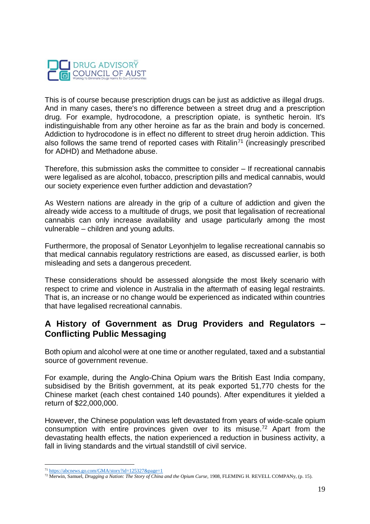

This is of course because prescription drugs can be just as addictive as illegal drugs. And in many cases, there's no difference between a street drug and a prescription drug. For example, hydrocodone, a prescription opiate, is synthetic heroin. It's indistinguishable from any other heroine as far as the brain and body is concerned. Addiction to hydrocodone is in effect no different to street drug heroin addiction. This also follows the same trend of reported cases with Ritalin<sup>71</sup> (increasingly prescribed for ADHD) and Methadone abuse.

Therefore, this submission asks the committee to consider – If recreational cannabis were legalised as are alcohol, tobacco, prescription pills and medical cannabis, would our society experience even further addiction and devastation?

As Western nations are already in the grip of a culture of addiction and given the already wide access to a multitude of drugs, we posit that legalisation of recreational cannabis can only increase availability and usage particularly among the most vulnerable – children and young adults.

Furthermore, the proposal of Senator Leyonhjelm to legalise recreational cannabis so that medical cannabis regulatory restrictions are eased, as discussed earlier, is both misleading and sets a dangerous precedent.

These considerations should be assessed alongside the most likely scenario with respect to crime and violence in Australia in the aftermath of easing legal restraints. That is, an increase or no change would be experienced as indicated within countries that have legalised recreational cannabis.

## **A History of Government as Drug Providers and Regulators – Conflicting Public Messaging**

Both opium and alcohol were at one time or another regulated, taxed and a substantial source of government revenue.

For example, during the Anglo-China Opium wars the British East India company, subsidised by the British government, at its peak exported 51,770 chests for the Chinese market (each chest contained 140 pounds). After expenditures it yielded a return of \$22,000,000.

However, the Chinese population was left devastated from years of wide-scale opium consumption with entire provinces given over to its misuse.<sup>72</sup> Apart from the devastating health effects, the nation experienced a reduction in business activity, a fall in living standards and the virtual standstill of civil service.

<sup>71</sup> <https://abcnews.go.com/GMA/story?id=125327&page=1>

<sup>&</sup>lt;sup>72</sup> Merwin, Samuel, *Drugging a Nation: The Story of China and the Opium Curse*, 1908, FLEMING H. REVELL COMPANy, (p. 15).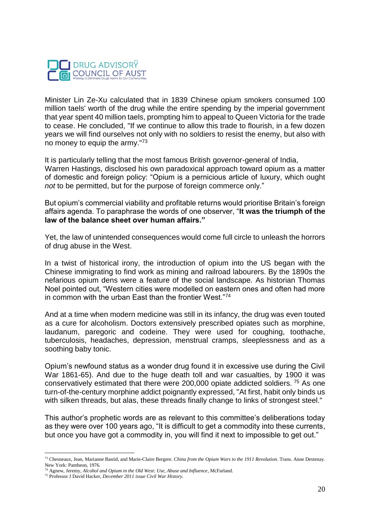

Minister Lin Ze-Xu calculated that in 1839 Chinese opium smokers consumed 100 million taels' worth of the drug while the entire spending by the imperial government that year spent 40 million taels, prompting him to appeal to Queen Victoria for the trade to cease. He concluded, "If we continue to allow this trade to flourish, in a few dozen years we will find ourselves not only with no soldiers to resist the enemy, but also with no money to equip the army."<sup>73</sup>

It is particularly telling that the most famous British governor-general of India, Warren Hastings, disclosed his own paradoxical approach toward opium as a matter of domestic and foreign policy: "Opium is a pernicious article of luxury, which ought *not* to be permitted, but for the purpose of foreign commerce only."

But opium's commercial viability and profitable returns would prioritise Britain's foreign affairs agenda. To paraphrase the words of one observer, "**It was the triumph of the law of the balance sheet over human affairs."**

Yet, the law of unintended consequences would come full circle to unleash the horrors of drug abuse in the West.

In a twist of historical irony, the introduction of opium into the US began with the Chinese immigrating to find work as mining and railroad labourers. By the 1890s the nefarious opium dens were a feature of the social landscape. As historian Thomas Noel pointed out, "Western cities were modelled on eastern ones and often had more in common with the urban East than the frontier West."<sup>74</sup>

And at a time when modern medicine was still in its infancy, the drug was even touted as a cure for alcoholism. Doctors extensively prescribed opiates such as morphine, laudanum, paregoric and codeine. They were used for coughing, toothache, tuberculosis, headaches, depression, menstrual cramps, sleeplessness and as a soothing baby tonic.

Opium's newfound status as a wonder drug found it in excessive use during the Civil War 1861-65). And due to the huge death toll and war casualties, by 1900 it was conservatively estimated that there were 200,000 opiate addicted soldiers. <sup>75</sup> As one turn-of-the-century morphine addict poignantly expressed, "At first, habit only binds us with silken threads, but alas, these threads finally change to links of strongest steel."

This author's prophetic words are as relevant to this committee's deliberations today as they were over 100 years ago, "It is difficult to get a commodity into these currents, but once you have got a commodity in, you will find it next to impossible to get out."

 $\overline{a}$ <sup>73</sup> Chesneaux, Jean, Marianne Bastid, and Marie-Claire Bergere. *China from the Opium Wars to the 1911 Revolution*. Trans. Anne Destenay. New York: Pantheon, 1976.

<sup>74</sup> Agnew, Jeremy, *Alcohol and Opium in the Old West: Use, Abuse and Influence*, McFarland.

<sup>75</sup> Professor J David Hacker, *December 2011 issue Civil War History.*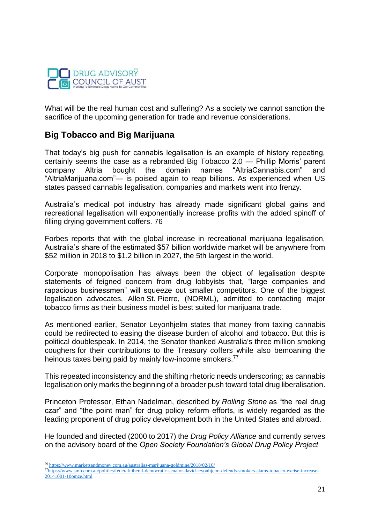

What will be the real human cost and suffering? As a society we cannot sanction the sacrifice of the upcoming generation for trade and revenue considerations.

## **Big Tobacco and Big Marijuana**

That today's big push for cannabis legalisation is an example of history repeating, certainly seems the case as a rebranded Big Tobacco 2.0 — Phillip Morris' parent company Altria bought the domain names "AltriaCannabis.com" and "AltriaMarijuana.com"— is poised again to reap billions. As experienced when US states passed cannabis legalisation, companies and markets went into frenzy.

Australia's medical pot industry has already made significant global gains and recreational legalisation will exponentially increase profits with the added spinoff of filling drying government coffers. 76

Forbes reports that with the global increase in recreational marijuana legalisation, Australia's share of the estimated \$57 billion worldwide market will be anywhere from \$52 million in 2018 to \$1.2 billion in 2027, the 5th largest in the world.

Corporate monopolisation has always been the object of legalisation despite statements of feigned concern from drug lobbyists that, "large companies and rapacious businessmen" will squeeze out smaller competitors. One of the biggest legalisation advocates, Allen St. Pierre, (NORML), admitted to contacting major tobacco firms as their business model is best suited for marijuana trade.

As mentioned earlier, Senator Leyonhjelm states that money from taxing cannabis could be redirected to easing the disease burden of alcohol and tobacco. But this is political doublespeak. In 2014, the Senator thanked Australia's three million smoking coughers for their contributions to the Treasury coffers while also bemoaning the heinous taxes being paid by mainly low-income smokers.<sup>77</sup>

This repeated inconsistency and the shifting rhetoric needs underscoring; as cannabis legalisation only marks the beginning of a broader push toward total drug liberalisation.

Princeton Professor, Ethan Nadelman, described by *Rolling Stone* as "the real drug czar" and "the point man" for drug policy reform efforts, is widely regarded as the leading proponent of drug policy development both in the United States and abroad.

He founded and directed (2000 to 2017) the *Drug Policy Alliance* and currently serves on the advisory board of the *Open Society Foundation's Global Drug Policy Project* 

<sup>76</sup> <https://www.marketsandmoney.com.au/australias-marijuana-goldmine/2018/02/10/>

<sup>77</sup>[https://www.smh.com.au/politics/federal/liberal-democratic-senator-david-leyonhjelm-defends-smokers-slams-tobacco-excise-increase-](https://www.smh.com.au/politics/federal/liberal-democratic-senator-david-leyonhjelm-defends-smokers-slams-tobacco-excise-increase-20141001-10omze.html)[20141001-10omze.html](https://www.smh.com.au/politics/federal/liberal-democratic-senator-david-leyonhjelm-defends-smokers-slams-tobacco-excise-increase-20141001-10omze.html)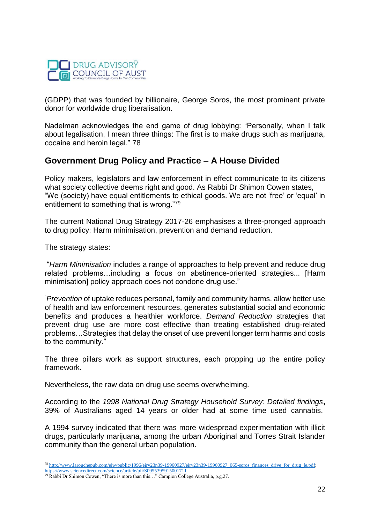

(GDPP) that was founded by billionaire, George Soros, the most prominent private donor for worldwide drug liberalisation.

Nadelman acknowledges the end game of drug lobbying: "Personally, when I talk about legalisation, I mean three things: The first is to make drugs such as marijuana, cocaine and heroin legal." 78

## **Government Drug Policy and Practice – A House Divided**

Policy makers, legislators and law enforcement in effect communicate to its citizens what society collective deems right and good. As Rabbi Dr Shimon Cowen states, "We (society) have equal entitlements to ethical goods. We are not 'free' or 'equal' in entitlement to something that is wrong."<sup>79</sup>

The current National Drug Strategy 2017-26 emphasises a three-pronged approach to drug policy: Harm minimisation, prevention and demand reduction.

The strategy states:

"*Harm Minimisation* includes a range of approaches to help prevent and reduce drug related problems…including a focus on abstinence-oriented strategies... [Harm minimisation] policy approach does not condone drug use."

"*Prevention* of uptake reduces personal, family and community harms, allow better use of health and law enforcement resources, generates substantial social and economic benefits and produces a healthier workforce. *Demand Reduction* strategies that prevent drug use are more cost effective than treating established drug-related problems…Strategies that delay the onset of use prevent longer term harms and costs to the community."

The three pillars work as support structures, each propping up the entire policy framework.

Nevertheless, the raw data on drug use seems overwhelming.

According to the *1998 National Drug Strategy Household Survey: Detailed findings***,**  39% of Australians aged 14 years or older had at some time used cannabis.

A 1994 survey indicated that there was more widespread experimentation with illicit drugs, particularly marijuana, among the urban Aboriginal and Torres Strait Islander community than the general urban population.

 $\overline{a}$ <sup>78</sup> [http://www.larouchepub.com/eiw/public/1996/eirv23n39-19960927/eirv23n39-19960927\\_065-soros\\_finances\\_drive\\_for\\_drug\\_le.pdf;](http://www.larouchepub.com/eiw/public/1996/eirv23n39-19960927/eirv23n39-19960927_065-soros_finances_drive_for_drug_le.pdf)

<https://www.sciencedirect.com/science/article/pii/S0955395915001711>

 $79$  Rabbi Dr Shimon Cowen, "There is more than this..." Campion College Australia, p.g. 27.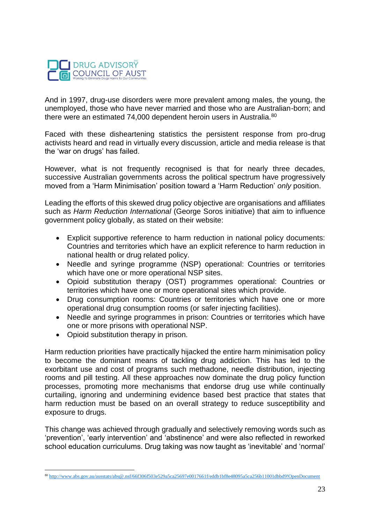

And in 1997, drug-use disorders were more prevalent among males, the young, the unemployed, those who have never married and those who are Australian-born; and there were an estimated 74,000 dependent heroin users in Australia.<sup>80</sup>

Faced with these disheartening statistics the persistent response from pro-drug activists heard and read in virtually every discussion, article and media release is that the 'war on drugs' has failed.

However, what is not frequently recognised is that for nearly three decades, successive Australian governments across the political spectrum have progressively moved from a 'Harm Minimisation' position toward a 'Harm Reduction' *only* position.

Leading the efforts of this skewed drug policy objective are organisations and affiliates such as *Harm Reduction International* (George Soros initiative) that aim to influence government policy globally, as stated on their website:

- Explicit supportive reference to harm reduction in national policy documents: Countries and territories which have an explicit reference to harm reduction in national health or drug related policy.
- Needle and syringe programme (NSP) operational: Countries or territories which have one or more operational NSP sites.
- Opioid substitution therapy (OST) programmes operational: Countries or territories which have one or more operational sites which provide.
- Drug consumption rooms: Countries or territories which have one or more operational drug consumption rooms (or safer injecting facilities).
- Needle and syringe programmes in prison: Countries or territories which have one or more prisons with operational NSP.
- Opioid substitution therapy in prison.

Harm reduction priorities have practically hijacked the entire harm minimisation policy to become the dominant means of tackling drug addiction. This has led to the exorbitant use and cost of programs such methadone, needle distribution, injecting rooms and pill testing. All these approaches now dominate the drug policy function processes, promoting more mechanisms that endorse drug use while continually curtailing, ignoring and undermining evidence based best practice that states that harm reduction must be based on an overall strategy to reduce susceptibility and exposure to drugs.

This change was achieved through gradually and selectively removing words such as 'prevention', 'early intervention' and 'abstinence' and were also reflected in reworked school education curriculums. Drug taking was now taught as 'inevitable' and 'normal'

 $\overline{a}$ <sup>80</sup> <http://www.abs.gov.au/ausstats/abs@.nsf/66f306f503e529a5ca25697e0017661f/eddb1bf8e48095a5ca256b11001dbbd9!OpenDocument>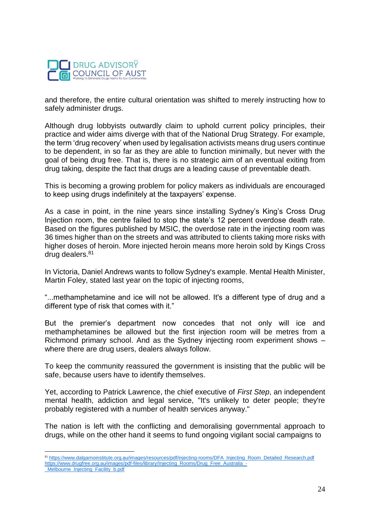

and therefore, the entire cultural orientation was shifted to merely instructing how to safely administer drugs.

Although drug lobbyists outwardly claim to uphold current policy principles, their practice and wider aims diverge with that of the National Drug Strategy. For example, the term 'drug recovery' when used by legalisation activists means drug users continue to be dependent, in so far as they are able to function minimally, but never with the goal of being drug free. That is, there is no strategic aim of an eventual exiting from drug taking, despite the fact that drugs are a leading cause of preventable death.

This is becoming a growing problem for policy makers as individuals are encouraged to keep using drugs indefinitely at the taxpayers' expense.

As a case in point, in the nine years since installing Sydney's King's Cross Drug Injection room, the centre failed to stop the state's 12 percent overdose death rate. Based on the figures published by MSIC, the overdose rate in the injecting room was 36 times higher than on the streets and was attributed to clients taking more risks with higher doses of heroin. More injected heroin means more heroin sold by Kings Cross drug dealers.<sup>81</sup>

In Victoria, Daniel Andrews wants to follow Sydney's example. Mental Health Minister, Martin Foley, stated last year on the topic of injecting rooms,

"...methamphetamine and ice will not be allowed. It's a different type of drug and a different type of risk that comes with it."

But the premier's department now concedes that not only will ice and methamphetamines be allowed but the first injection room will be metres from a Richmond primary school. And as the Sydney injecting room experiment shows – where there are drug users, dealers always follow.

To keep the community reassured the government is insisting that the public will be safe, because users have to identify themselves.

Yet, according to Patrick Lawrence, the chief executive of *First Step*, an independent mental health, addiction and legal service, "It's unlikely to deter people; they're probably registered with a number of health services anyway."

The nation is left with the conflicting and demoralising governmental approach to drugs, while on the other hand it seems to fund ongoing vigilant social campaigns to

 $\overline{a}$ <sup>81</sup> [https://www.dalgarnoinstitute.org.au/images/resources/pdf/injecting-rooms/DFA\\_Injecting\\_Room\\_Detailed\\_Research.pdf](https://www.dalgarnoinstitute.org.au/images/resources/pdf/injecting-rooms/DFA_Injecting_Room_Detailed_Research.pdf) [https://www.drugfree.org.au/images/pdf-files/library/Injecting\\_Rooms/Drug\\_Free\\_Australia\\_-](https://www.drugfree.org.au/images/pdf-files/library/Injecting_Rooms/Drug_Free_Australia_-_Melbourne_Injecting_Facility_b.pdf)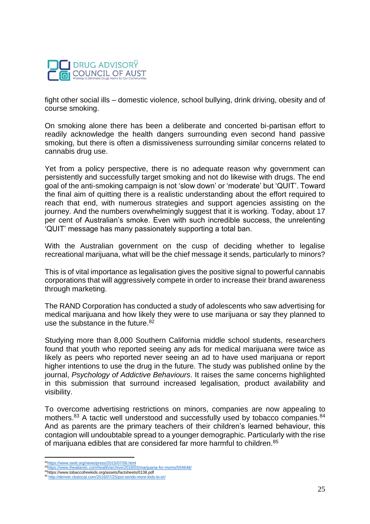

fight other social ills – domestic violence, school bullying, drink driving, obesity and of course smoking.

On smoking alone there has been a deliberate and concerted bi-partisan effort to readily acknowledge the health dangers surrounding even second hand passive smoking, but there is often a dismissiveness surrounding similar concerns related to cannabis drug use.

Yet from a policy perspective, there is no adequate reason why government can persistently and successfully target smoking and not do likewise with drugs. The end goal of the anti-smoking campaign is not 'slow down' or 'moderate' but 'QUIT'. Toward the final aim of quitting there is a realistic understanding about the effort required to reach that end, with numerous strategies and support agencies assisting on the journey. And the numbers overwhelmingly suggest that it is working. Today, about 17 per cent of Australian's smoke. Even with such incredible success, the unrelenting 'QUIT' message has many passionately supporting a total ban.

With the Australian government on the cusp of deciding whether to legalise recreational marijuana, what will be the chief message it sends, particularly to minors?

This is of vital importance as legalisation gives the positive signal to powerful cannabis corporations that will aggressively compete in order to increase their brand awareness through marketing.

The RAND Corporation has conducted a study of adolescents who saw advertising for medical marijuana and how likely they were to use marijuana or say they planned to use the substance in the future.<sup>82</sup>

Studying more than 8,000 Southern California middle school students, researchers found that youth who reported seeing any ads for medical marijuana were twice as likely as peers who reported never seeing an ad to have used marijuana or report higher intentions to use the drug in the future. The study was published online by the journal, *Psychology of Addictive Behaviours*. It raises the same concerns highlighted in this submission that surround increased legalisation, product availability and visibility.

To overcome advertising restrictions on minors, companies are now appealing to mothers.<sup>83</sup> A tactic well understood and successfully used by tobacco companies.<sup>84</sup> And as parents are the primary teachers of their children's learned behaviour, this contagion will undoubtable spread to a younger demographic. Particularly with the rise of marijuana edibles that are considered far more harmful to children.<sup>85</sup>

 $\overline{a}$ <sup>82</sup>https://www.rand.org/news/press/2015/07/06.html<br><sup>83</sup>https://www.theatlantic.com/health/archive/2018/03/marijuana-for-moms/554648/

<sup>&</sup>lt;sup>83</sup>https://www.theatlantic.com/health/archive/2018/03/marijuana-for-moms/554648/<br><sup>84</sup>https://www.tobaccofreekids.org/assets/factsheets/0138.pdf

<sup>85</sup> <http://denver.cbslocal.com/2016/07/25/pot-sends-more-kids-to-er/>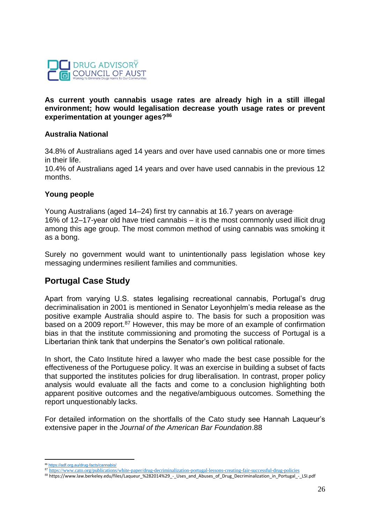

#### **As current youth cannabis usage rates are already high in a still illegal environment; how would legalisation decrease youth usage rates or prevent experimentation at younger ages?<sup>86</sup>**

### **Australia National**

34.8% of Australians aged 14 years and over have used cannabis one or more times in their life.

10.4% of Australians aged 14 years and over have used cannabis in the previous 12 months.

#### **Young people**

Young Australians (aged 14–24) first try cannabis at 16.7 years on average. 16% of 12–17-year old have tried cannabis – it is the most commonly used illicit drug among this age group. The most common method of using cannabis was smoking it as a bong.

Surely no government would want to unintentionally pass legislation whose key messaging undermines resilient families and communities.

# **Portugal Case Study**

Apart from varying U.S. states legalising recreational cannabis, Portugal's drug decriminalisation in 2001 is mentioned in Senator Leyonhjelm's media release as the positive example Australia should aspire to. The basis for such a proposition was based on a 2009 report.<sup>87</sup> However, this may be more of an example of confirmation bias in that the institute commissioning and promoting the success of Portugal is a Libertarian think tank that underpins the Senator's own political rationale.

In short, the Cato Institute hired a lawyer who made the best case possible for the effectiveness of the Portuguese policy. It was an exercise in building a subset of facts that supported the institutes policies for drug liberalisation. In contrast, proper policy analysis would evaluate all the facts and come to a conclusion highlighting both apparent positive outcomes and the negative/ambiguous outcomes. Something the report unquestionably lacks.

For detailed information on the shortfalls of the Cato study see Hannah Laqueur's extensive paper in the *Journal of the American Bar Foundation*.88

 $\overline{a}$ <sup>86</sup> <https://adf.org.au/drug-facts/cannabis/>

<sup>87</sup> <https://www.cato.org/publications/white-paper/drug-decriminalization-portugal-lessons-creating-fair-successful-drug-policies>

<sup>88</sup> https://www.law.berkeley.edu/files/Laqueur\_%282014%29\_-\_Uses\_and\_Abuses\_of\_Drug\_Decriminalization\_in\_Portugal\_-\_LSI.pdf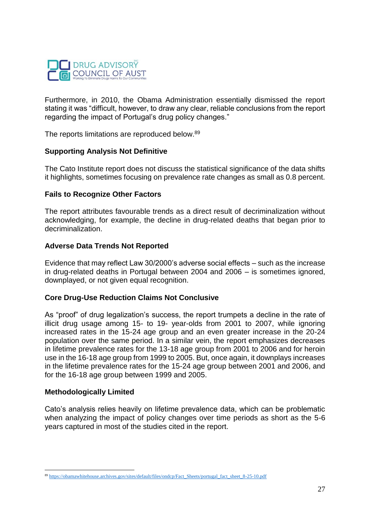

Furthermore, in 2010, the Obama Administration essentially dismissed the report stating it was "difficult, however, to draw any clear, reliable conclusions from the report regarding the impact of Portugal's drug policy changes."

The reports limitations are reproduced below.<sup>89</sup>

### **Supporting Analysis Not Definitive**

The Cato Institute report does not discuss the statistical significance of the data shifts it highlights, sometimes focusing on prevalence rate changes as small as 0.8 percent.

### **Fails to Recognize Other Factors**

The report attributes favourable trends as a direct result of decriminalization without acknowledging, for example, the decline in drug-related deaths that began prior to decriminalization.

### **Adverse Data Trends Not Reported**

Evidence that may reflect Law 30/2000's adverse social effects – such as the increase in drug-related deaths in Portugal between 2004 and 2006 – is sometimes ignored, downplayed, or not given equal recognition.

### **Core Drug**‐**Use Reduction Claims Not Conclusive**

As "proof" of drug legalization's success, the report trumpets a decline in the rate of illicit drug usage among 15- to 19- year-olds from 2001 to 2007, while ignoring increased rates in the 15-24 age group and an even greater increase in the 20-24 population over the same period. In a similar vein, the report emphasizes decreases in lifetime prevalence rates for the 13-18 age group from 2001 to 2006 and for heroin use in the 16-18 age group from 1999 to 2005. But, once again, it downplays increases in the lifetime prevalence rates for the 15-24 age group between 2001 and 2006, and for the 16-18 age group between 1999 and 2005.

### **Methodologically Limited**

 $\overline{a}$ 

Cato's analysis relies heavily on lifetime prevalence data, which can be problematic when analyzing the impact of policy changes over time periods as short as the 5-6 years captured in most of the studies cited in the report.

<sup>89</sup> [https://obamawhitehouse.archives.gov/sites/default/files/ondcp/Fact\\_Sheets/portugal\\_fact\\_sheet\\_8-25-10.pdf](https://obamawhitehouse.archives.gov/sites/default/files/ondcp/Fact_Sheets/portugal_fact_sheet_8-25-10.pdf)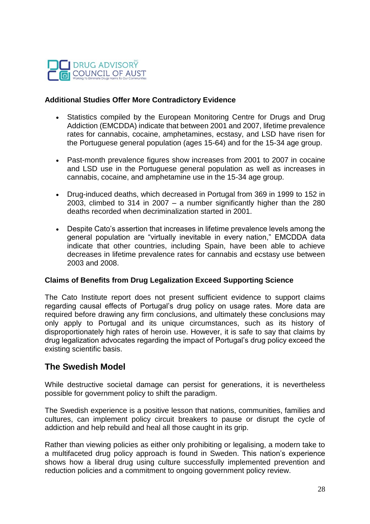

### **Additional Studies Offer More Contradictory Evidence**

- Statistics compiled by the European Monitoring Centre for Drugs and Drug Addiction (EMCDDA) indicate that between 2001 and 2007, lifetime prevalence rates for cannabis, cocaine, amphetamines, ecstasy, and LSD have risen for the Portuguese general population (ages 15-64) and for the 15-34 age group.
- Past-month prevalence figures show increases from 2001 to 2007 in cocaine and LSD use in the Portuguese general population as well as increases in cannabis, cocaine, and amphetamine use in the 15-34 age group.
- Drug-induced deaths, which decreased in Portugal from 369 in 1999 to 152 in 2003, climbed to 314 in 2007 – a number significantly higher than the 280 deaths recorded when decriminalization started in 2001.
- Despite Cato's assertion that increases in lifetime prevalence levels among the general population are "virtually inevitable in every nation," EMCDDA data indicate that other countries, including Spain, have been able to achieve decreases in lifetime prevalence rates for cannabis and ecstasy use between 2003 and 2008.

### **Claims of Benefits from Drug Legalization Exceed Supporting Science**

The Cato Institute report does not present sufficient evidence to support claims regarding causal effects of Portugal's drug policy on usage rates. More data are required before drawing any firm conclusions, and ultimately these conclusions may only apply to Portugal and its unique circumstances, such as its history of disproportionately high rates of heroin use. However, it is safe to say that claims by drug legalization advocates regarding the impact of Portugal's drug policy exceed the existing scientific basis.

### **The Swedish Model**

While destructive societal damage can persist for generations, it is nevertheless possible for government policy to shift the paradigm.

The Swedish experience is a positive lesson that nations, communities, families and cultures, can implement policy circuit breakers to pause or disrupt the cycle of addiction and help rebuild and heal all those caught in its grip.

Rather than viewing policies as either only prohibiting or legalising, a modern take to a multifaceted drug policy approach is found in Sweden. This nation's experience shows how a liberal drug using culture successfully implemented prevention and reduction policies and a commitment to ongoing government policy review.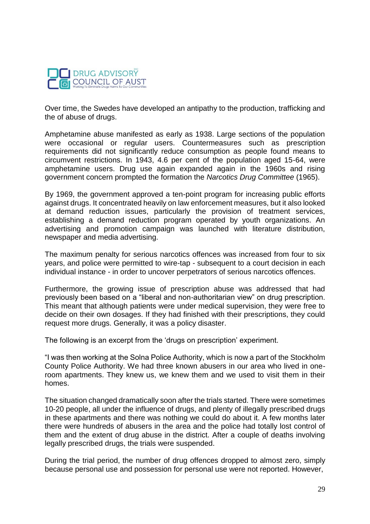

Over time, the Swedes have developed an antipathy to the production, trafficking and the of abuse of drugs.

Amphetamine abuse manifested as early as 1938. Large sections of the population were occasional or regular users. Countermeasures such as prescription requirements did not significantly reduce consumption as people found means to circumvent restrictions. In 1943, 4.6 per cent of the population aged 15-64, were amphetamine users. Drug use again expanded again in the 1960s and rising government concern prompted the formation the *Narcotics Drug Committee* (1965).

By 1969, the government approved a ten-point program for increasing public efforts against drugs. It concentrated heavily on law enforcement measures, but it also looked at demand reduction issues, particularly the provision of treatment services, establishing a demand reduction program operated by youth organizations. An advertising and promotion campaign was launched with literature distribution, newspaper and media advertising.

The maximum penalty for serious narcotics offences was increased from four to six years, and police were permitted to wire-tap - subsequent to a court decision in each individual instance - in order to uncover perpetrators of serious narcotics offences.

Furthermore, the growing issue of prescription abuse was addressed that had previously been based on a "liberal and non-authoritarian view" on drug prescription. This meant that although patients were under medical supervision, they were free to decide on their own dosages. If they had finished with their prescriptions, they could request more drugs. Generally, it was a policy disaster.

The following is an excerpt from the 'drugs on prescription' experiment.

"I was then working at the Solna Police Authority, which is now a part of the Stockholm County Police Authority. We had three known abusers in our area who lived in oneroom apartments. They knew us, we knew them and we used to visit them in their homes.

The situation changed dramatically soon after the trials started. There were sometimes 10-20 people, all under the influence of drugs, and plenty of illegally prescribed drugs in these apartments and there was nothing we could do about it. A few months later there were hundreds of abusers in the area and the police had totally lost control of them and the extent of drug abuse in the district. After a couple of deaths involving legally prescribed drugs, the trials were suspended.

During the trial period, the number of drug offences dropped to almost zero, simply because personal use and possession for personal use were not reported. However,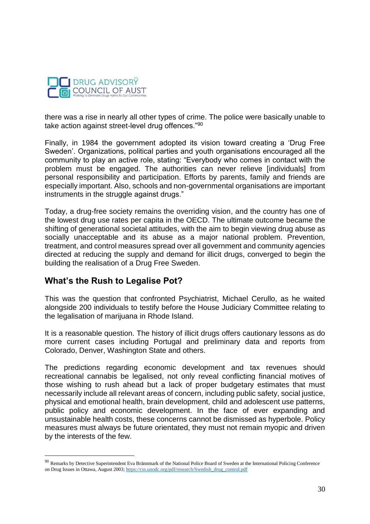

there was a rise in nearly all other types of crime. The police were basically unable to take action against street-level drug offences."<sup>90</sup>

Finally, in 1984 the government adopted its vision toward creating a 'Drug Free Sweden'. Organizations, political parties and youth organisations encouraged all the community to play an active role, stating: "Everybody who comes in contact with the problem must be engaged. The authorities can never relieve [individuals] from personal responsibility and participation. Efforts by parents, family and friends are especially important. Also, schools and non-governmental organisations are important instruments in the struggle against drugs."

Today, a drug-free society remains the overriding vision, and the country has one of the lowest drug use rates per capita in the OECD. The ultimate outcome became the shifting of generational societal attitudes, with the aim to begin viewing drug abuse as socially unacceptable and its abuse as a major national problem. Prevention, treatment, and control measures spread over all government and community agencies directed at reducing the supply and demand for illicit drugs, converged to begin the building the realisation of a Drug Free Sweden.

# **What's the Rush to Legalise Pot?**

 $\overline{a}$ 

This was the question that confronted Psychiatrist, Michael Cerullo, as he waited alongside 200 individuals to testify before the House Judiciary Committee relating to the legalisation of marijuana in Rhode Island.

It is a reasonable question. The history of illicit drugs offers cautionary lessons as do more current cases including Portugal and preliminary data and reports from Colorado, Denver, Washington State and others.

The predictions regarding economic development and tax revenues should recreational cannabis be legalised, not only reveal conflicting financial motives of those wishing to rush ahead but a lack of proper budgetary estimates that must necessarily include all relevant areas of concern, including public safety, social justice, physical and emotional health, brain development, child and adolescent use patterns, public policy and economic development. In the face of ever expanding and unsustainable health costs, these concerns cannot be dismissed as hyperbole. Policy measures must always be future orientated, they must not remain myopic and driven by the interests of the few.

<sup>&</sup>lt;sup>90</sup> Remarks by Detective Superintendent Eva Brännmark of the National Police Board of Sweden at the International Policing Conference on Drug Issues in Ottawa, August 2003[; https://css.unodc.org/pdf/research/Swedish\\_drug\\_control.pdf](https://css.unodc.org/pdf/research/Swedish_drug_control.pdf)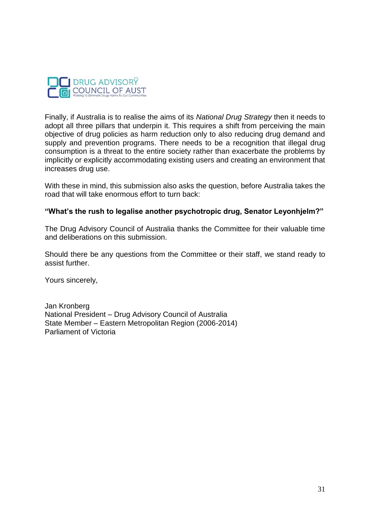

Finally, if Australia is to realise the aims of its *National Drug Strategy* then it needs to adopt all three pillars that underpin it. This requires a shift from perceiving the main objective of drug policies as harm reduction only to also reducing drug demand and supply and prevention programs. There needs to be a recognition that illegal drug consumption is a threat to the entire society rather than exacerbate the problems by implicitly or explicitly accommodating existing users and creating an environment that increases drug use.

With these in mind, this submission also asks the question, before Australia takes the road that will take enormous effort to turn back:

### **"What's the rush to legalise another psychotropic drug, Senator Leyonhjelm?"**

The Drug Advisory Council of Australia thanks the Committee for their valuable time and deliberations on this submission.

Should there be any questions from the Committee or their staff, we stand ready to assist further.

Yours sincerely,

Jan Kronberg National President – Drug Advisory Council of Australia State Member – Eastern Metropolitan Region (2006-2014) Parliament of Victoria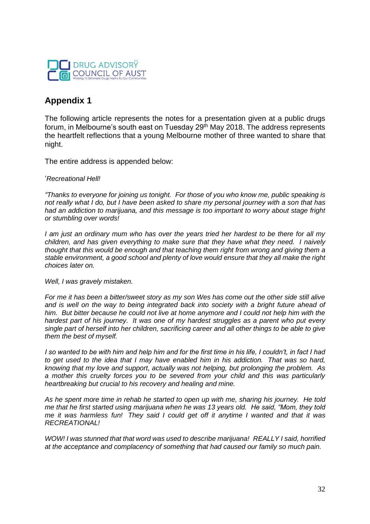

# **Appendix 1**

The following article represents the notes for a presentation given at a public drugs forum, in Melbourne's south east on Tuesday 29<sup>th</sup> May 2018. The address represents the heartfelt reflections that a young Melbourne mother of three wanted to share that night.

The entire address is appended below:

'*Recreational Hell!*

*"Thanks to everyone for joining us tonight. For those of you who know me, public speaking is not really what I do, but I have been asked to share my personal journey with a son that has had an addiction to marijuana, and this message is too important to worry about stage fright or stumbling over words!*

*I am just an ordinary mum who has over the years tried her hardest to be there for all my children, and has given everything to make sure that they have what they need. I naively thought that this would be enough and that teaching them right from wrong and giving them a stable environment, a good school and plenty of love would ensure that they all make the right choices later on.* 

*Well, I was gravely mistaken.*

*For me it has been a bitter/sweet story as my son Wes has come out the other side still alive and is well on the way to being integrated back into society with a bright future ahead of him. But bitter because he could not live at home anymore and I could not help him with the hardest part of his journey. It was one of my hardest struggles as a parent who put every single part of herself into her children, sacrificing career and all other things to be able to give them the best of myself.* 

*I so wanted to be with him and help him and for the first time in his life, I couldn't, in fact I had to get used to the idea that I may have enabled him in his addiction. That was so hard, knowing that my love and support, actually was not helping, but prolonging the problem. As a mother this cruelty forces you to be severed from your child and this was particularly heartbreaking but crucial to his recovery and healing and mine.*

*As he spent more time in rehab he started to open up with me, sharing his journey. He told me that he first started using marijuana when he was 13 years old. He said, "Mom, they told me it was harmless fun! They said I could get off it anytime I wanted and that it was RECREATIONAL!* 

*WOW! I was stunned that that word was used to describe marijuana! REALLY I said, horrified at the acceptance and complacency of something that had caused our family so much pain.*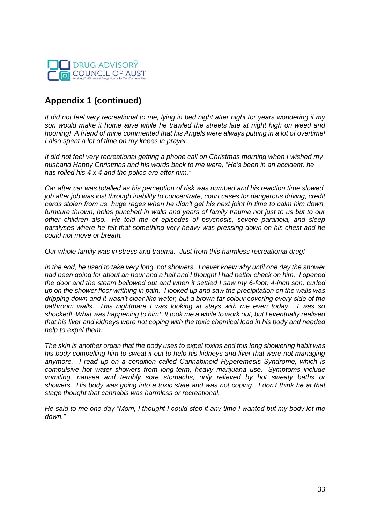

# **Appendix 1 (continued)**

*It did not feel very recreational to me, lying in bed night after night for years wondering if my son would make it home alive while he trawled the streets late at night high on weed and hooning! A friend of mine commented that his Angels were always putting in a lot of overtime! I also spent a lot of time on my knees in prayer.*

*It did not feel very recreational getting a phone call on Christmas morning when I wished my husband Happy Christmas and his words back to me were, "He's been in an accident, he has rolled his 4 x 4 and the police are after him."*

*Car after car was totalled as his perception of risk was numbed and his reaction time slowed, job after job was lost through inability to concentrate, court cases for dangerous driving, credit cards stolen from us, huge rages when he didn't get his next joint in time to calm him down, furniture thrown, holes punched in walls and years of family trauma not just to us but to our other children also. He told me of episodes of psychosis, severe paranoia, and sleep paralyses where he felt that something very heavy was pressing down on his chest and he could not move or breath.* 

*Our whole family was in stress and trauma. Just from this harmless recreational drug!*

*In the end, he used to take very long, hot showers. I never knew why until one day the shower had been going for about an hour and a half and I thought I had better check on him. I opened the door and the steam bellowed out and when it settled I saw my 6-foot, 4-inch son, curled up on the shower floor writhing in pain. I looked up and saw the precipitation on the walls was dripping down and it wasn't clear like water, but a brown tar colour covering every side of the bathroom walls. This nightmare I was looking at stays with me even today. I was so shocked! What was happening to him! It took me a while to work out, but I eventually realised that his liver and kidneys were not coping with the toxic chemical load in his body and needed help to expel them.* 

*The skin is another organ that the body uses to expel toxins and this long showering habit was his body compelling him to sweat it out to help his kidneys and liver that were not managing anymore. I read up on a condition called Cannabinoid Hyperemesis Syndrome, which is compulsive hot water showers from long-term, heavy marijuana use. Symptoms include vomiting, nausea and terribly sore stomachs, only relieved by hot sweaty baths or showers. His body was going into a toxic state and was not coping. I don't think he at that stage thought that cannabis was harmless or recreational.*

*He said to me one day "Mom, I thought I could stop it any time I wanted but my body let me down."*